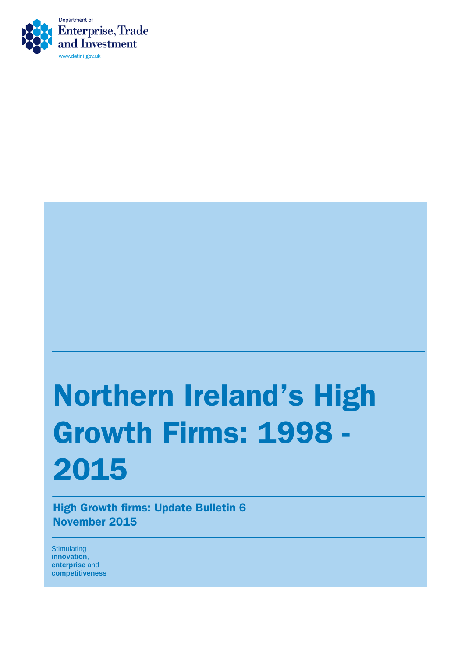

# Northern Ireland's High Growth Firms: 1998 - 2015

High Growth firms: Update Bulletin 6 November 2015

**Stimulating innovation**, **enterprise** and **competitiveness**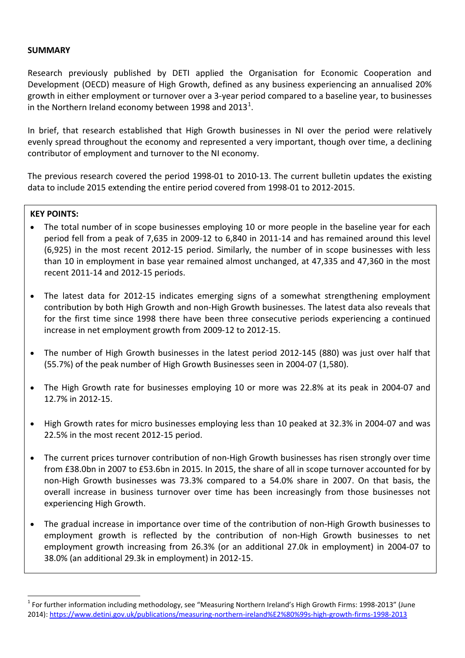## **SUMMARY**

Research previously published by DETI applied the Organisation for Economic Cooperation and Development (OECD) measure of High Growth, defined as any business experiencing an annualised 20% growth in either employment or turnover over a 3-year period compared to a baseline year, to businesses in the Northern Ireland economy between [1](#page-1-0)998 and 2013<sup>1</sup>.

In brief, that research established that High Growth businesses in NI over the period were relatively evenly spread throughout the economy and represented a very important, though over time, a declining contributor of employment and turnover to the NI economy.

The previous research covered the period 1998-01 to 2010-13. The current bulletin updates the existing data to include 2015 extending the entire period covered from 1998-01 to 2012-2015.

## **KEY POINTS:**

l

- The total number of in scope businesses employing 10 or more people in the baseline year for each period fell from a peak of 7,635 in 2009-12 to 6,840 in 2011-14 and has remained around this level (6,925) in the most recent 2012-15 period. Similarly, the number of in scope businesses with less than 10 in employment in base year remained almost unchanged, at 47,335 and 47,360 in the most recent 2011-14 and 2012-15 periods.
- The latest data for 2012-15 indicates emerging signs of a somewhat strengthening employment contribution by both High Growth and non-High Growth businesses. The latest data also reveals that for the first time since 1998 there have been three consecutive periods experiencing a continued increase in net employment growth from 2009-12 to 2012-15.
- The number of High Growth businesses in the latest period 2012-145 (880) was just over half that (55.7%) of the peak number of High Growth Businesses seen in 2004-07 (1,580).
- The High Growth rate for businesses employing 10 or more was 22.8% at its peak in 2004-07 and 12.7% in 2012-15.
- High Growth rates for micro businesses employing less than 10 peaked at 32.3% in 2004-07 and was 22.5% in the most recent 2012-15 period.
- The current prices turnover contribution of non-High Growth businesses has risen strongly over time from £38.0bn in 2007 to £53.6bn in 2015. In 2015, the share of all in scope turnover accounted for by non-High Growth businesses was 73.3% compared to a 54.0% share in 2007. On that basis, the overall increase in business turnover over time has been increasingly from those businesses not experiencing High Growth.
- The gradual increase in importance over time of the contribution of non-High Growth businesses to employment growth is reflected by the contribution of non-High Growth businesses to net employment growth increasing from 26.3% (or an additional 27.0k in employment) in 2004-07 to 38.0% (an additional 29.3k in employment) in 2012-15.

<span id="page-1-0"></span> $1$  For further information including methodology, see "Measuring Northern Ireland's High Growth Firms: 1998-2013" (June 2014)[: https://www.detini.gov.uk/publications/measuring-northern-ireland%E2%80%99s-high-growth-firms-1998-2013](https://www.detini.gov.uk/publications/measuring-northern-ireland%E2%80%99s-high-growth-firms-1998-2013)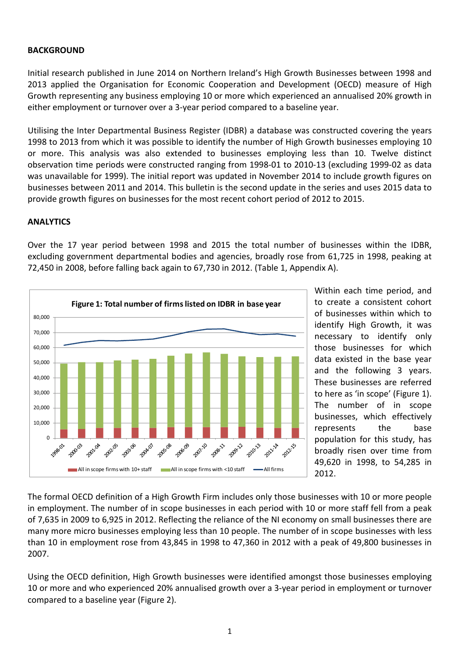# **BACKGROUND**

Initial research published in June 2014 on Northern Ireland's High Growth Businesses between 1998 and 2013 applied the Organisation for Economic Cooperation and Development (OECD) measure of High Growth representing any business employing 10 or more which experienced an annualised 20% growth in either employment or turnover over a 3-year period compared to a baseline year.

Utilising the Inter Departmental Business Register (IDBR) a database was constructed covering the years 1998 to 2013 from which it was possible to identify the number of High Growth businesses employing 10 or more. This analysis was also extended to businesses employing less than 10. Twelve distinct observation time periods were constructed ranging from 1998-01 to 2010-13 (excluding 1999-02 as data was unavailable for 1999). The initial report was updated in November 2014 to include growth figures on businesses between 2011 and 2014. This bulletin is the second update in the series and uses 2015 data to provide growth figures on businesses for the most recent cohort period of 2012 to 2015.

# **ANALYTICS**

Over the 17 year period between 1998 and 2015 the total number of businesses within the IDBR, excluding government departmental bodies and agencies, broadly rose from 61,725 in 1998, peaking at 72,450 in 2008, before falling back again to 67,730 in 2012. (Table 1, Appendix A).



Within each time period, and to create a consistent cohort of businesses within which to identify High Growth, it was necessary to identify only those businesses for which data existed in the base year and the following 3 years. These businesses are referred to here as 'in scope' (Figure 1). The number of in scope businesses, which effectively represents the base population for this study, has broadly risen over time from 49,620 in 1998, to 54,285 in 2012.

The formal OECD definition of a High Growth Firm includes only those businesses with 10 or more people in employment. The number of in scope businesses in each period with 10 or more staff fell from a peak of 7,635 in 2009 to 6,925 in 2012. Reflecting the reliance of the NI economy on small businesses there are many more micro businesses employing less than 10 people. The number of in scope businesses with less than 10 in employment rose from 43,845 in 1998 to 47,360 in 2012 with a peak of 49,800 businesses in 2007.

Using the OECD definition, High Growth businesses were identified amongst those businesses employing 10 or more and who experienced 20% annualised growth over a 3-year period in employment or turnover compared to a baseline year (Figure 2).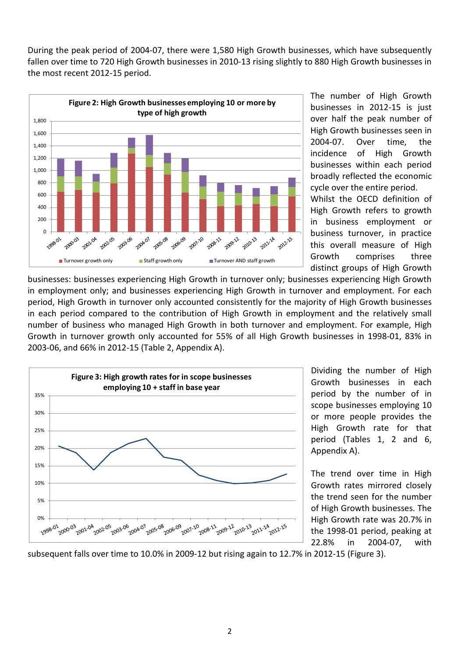During the peak period of 2004-07, there were 1,580 High Growth businesses, which have subsequently fallen over time to 720 High Growth businesses in 2010-13 rising slightly to 880 High Growth businesses in the most recent 2012-15 period.



The number of High Growth businesses in 2012-15 is just over half the peak number of High Growth businesses seen in 2004-07. Over time, the incidence of High Growth businesses within each period broadly reflected the economic cycle over the entire period.

Whilst the OECD definition of High Growth refers to growth in business employment or business turnover, in practice this overall measure of High Growth comprises three distinct groups of High Growth

businesses: businesses experiencing High Growth in turnover only; businesses experiencing High Growth in employment only; and businesses experiencing High Growth in turnover and employment. For each period, High Growth in turnover only accounted consistently for the majority of High Growth businesses in each period compared to the contribution of High Growth in employment and the relatively small number of business who managed High Growth in both turnover and employment. For example, High Growth in turnover growth only accounted for 55% of all High Growth businesses in 1998-01, 83% in 2003-06, and 66% in 2012-15 (Table 2, Appendix A).



Dividing the number of High Growth businesses in each period by the number of in scope businesses employing 10 or more people provides the High Growth rate for that period (Tables 1, 2 and 6, Appendix A).

The trend over time in High Growth rates mirrored closely the trend seen for the number of High Growth businesses. The High Growth rate was 20.7% in the 1998-01 period, peaking at 22.8% in 2004-07, with

subsequent falls over time to 10.0% in 2009-12 but rising again to 12.7% in 2012-15 (Figure 3).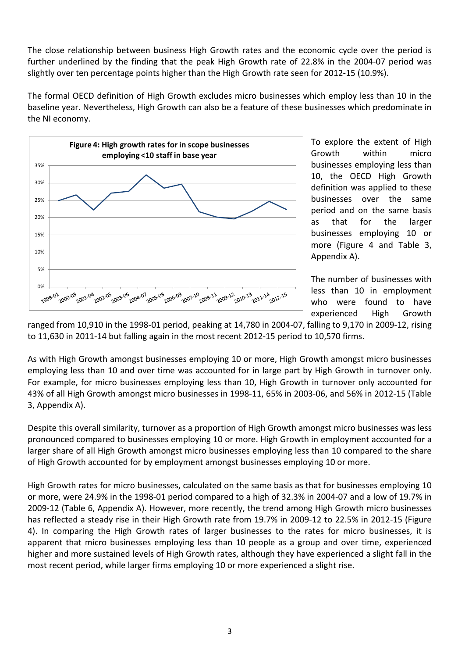The close relationship between business High Growth rates and the economic cycle over the period is further underlined by the finding that the peak High Growth rate of 22.8% in the 2004-07 period was slightly over ten percentage points higher than the High Growth rate seen for 2012-15 (10.9%).

The formal OECD definition of High Growth excludes micro businesses which employ less than 10 in the baseline year. Nevertheless, High Growth can also be a feature of these businesses which predominate in the NI economy.



To explore the extent of High Growth within micro businesses employing less than 10, the OECD High Growth definition was applied to these businesses over the same period and on the same basis as that for the larger businesses employing 10 or more (Figure 4 and Table 3, Appendix A).

The number of businesses with less than 10 in employment who were found to have experienced High Growth

ranged from 10,910 in the 1998-01 period, peaking at 14,780 in 2004-07, falling to 9,170 in 2009-12, rising to 11,630 in 2011-14 but falling again in the most recent 2012-15 period to 10,570 firms.

As with High Growth amongst businesses employing 10 or more, High Growth amongst micro businesses employing less than 10 and over time was accounted for in large part by High Growth in turnover only. For example, for micro businesses employing less than 10, High Growth in turnover only accounted for 43% of all High Growth amongst micro businesses in 1998-11, 65% in 2003-06, and 56% in 2012-15 (Table 3, Appendix A).

Despite this overall similarity, turnover as a proportion of High Growth amongst micro businesses was less pronounced compared to businesses employing 10 or more. High Growth in employment accounted for a larger share of all High Growth amongst micro businesses employing less than 10 compared to the share of High Growth accounted for by employment amongst businesses employing 10 or more.

High Growth rates for micro businesses, calculated on the same basis as that for businesses employing 10 or more, were 24.9% in the 1998-01 period compared to a high of 32.3% in 2004-07 and a low of 19.7% in 2009-12 (Table 6, Appendix A). However, more recently, the trend among High Growth micro businesses has reflected a steady rise in their High Growth rate from 19.7% in 2009-12 to 22.5% in 2012-15 (Figure 4). In comparing the High Growth rates of larger businesses to the rates for micro businesses, it is apparent that micro businesses employing less than 10 people as a group and over time, experienced higher and more sustained levels of High Growth rates, although they have experienced a slight fall in the most recent period, while larger firms employing 10 or more experienced a slight rise.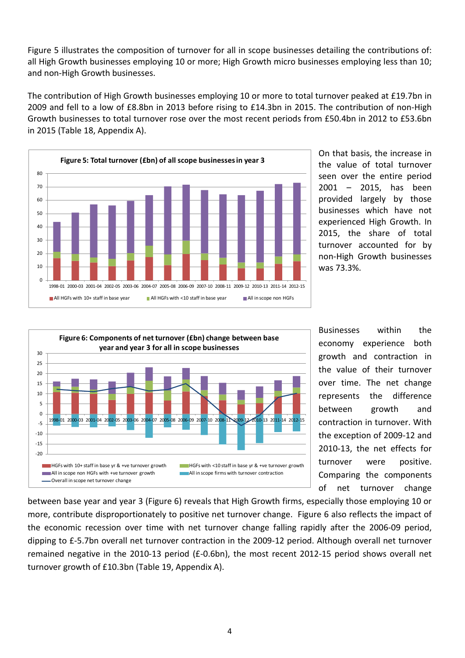Figure 5 illustrates the composition of turnover for all in scope businesses detailing the contributions of: all High Growth businesses employing 10 or more; High Growth micro businesses employing less than 10; and non-High Growth businesses.

The contribution of High Growth businesses employing 10 or more to total turnover peaked at £19.7bn in 2009 and fell to a low of £8.8bn in 2013 before rising to £14.3bn in 2015. The contribution of non-High Growth businesses to total turnover rose over the most recent periods from £50.4bn in 2012 to £53.6bn in 2015 (Table 18, Appendix A).



On that basis, the increase in the value of total turnover seen over the entire period 2001 – 2015, has been provided largely by those businesses which have not experienced High Growth. In 2015, the share of total turnover accounted for by non-High Growth businesses was 73.3%.



Businesses within the economy experience both growth and contraction in the value of their turnover over time. The net change represents the difference between growth and contraction in turnover. With the exception of 2009-12 and 2010-13, the net effects for turnover were positive. Comparing the components of net turnover change

between base year and year 3 (Figure 6) reveals that High Growth firms, especially those employing 10 or more, contribute disproportionately to positive net turnover change. Figure 6 also reflects the impact of the economic recession over time with net turnover change falling rapidly after the 2006-09 period, dipping to £-5.7bn overall net turnover contraction in the 2009-12 period. Although overall net turnover remained negative in the 2010-13 period (£-0.6bn), the most recent 2012-15 period shows overall net turnover growth of £10.3bn (Table 19, Appendix A).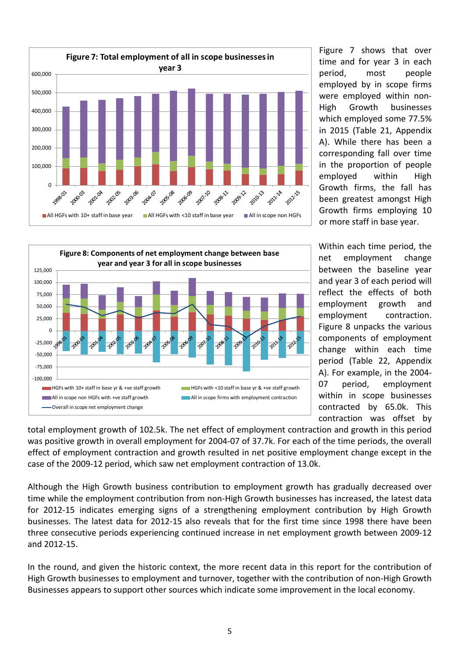

Figure 7 shows that over time and for year 3 in each period, most people employed by in scope firms were employed within non-High Growth businesses which employed some 77.5% in 2015 (Table 21, Appendix A). While there has been a corresponding fall over time in the proportion of people employed within High Growth firms, the fall has been greatest amongst High Growth firms employing 10 or more staff in base year.



Within each time period, the net employment change between the baseline year and year 3 of each period will reflect the effects of both employment growth and employment contraction. Figure 8 unpacks the various components of employment change within each time period (Table 22, Appendix A). For example, in the 2004- 07 period, employment within in scope businesses contracted by 65.0k. This contraction was offset by

total employment growth of 102.5k. The net effect of employment contraction and growth in this period was positive growth in overall employment for 2004-07 of 37.7k. For each of the time periods, the overall effect of employment contraction and growth resulted in net positive employment change except in the case of the 2009-12 period, which saw net employment contraction of 13.0k.

Although the High Growth business contribution to employment growth has gradually decreased over time while the employment contribution from non-High Growth businesses has increased, the latest data for 2012-15 indicates emerging signs of a strengthening employment contribution by High Growth businesses. The latest data for 2012-15 also reveals that for the first time since 1998 there have been three consecutive periods experiencing continued increase in net employment growth between 2009-12 and 2012-15.

In the round, and given the historic context, the more recent data in this report for the contribution of High Growth businesses to employment and turnover, together with the contribution of non-High Growth Businesses appears to support other sources which indicate some improvement in the local economy.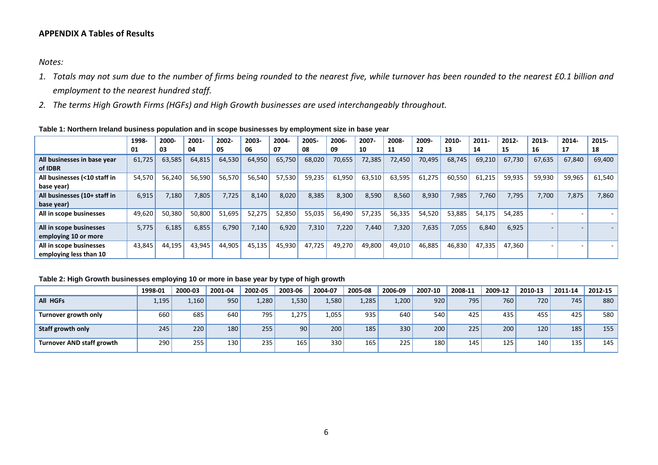# **APPENDIX A Tables of Results**

*Notes:* 

- *1. Totals may not sum due to the number of firms being rounded to the nearest five, while turnover has been rounded to the nearest £0.1 billion and employment to the nearest hundred staff.*
- *2. The terms High Growth Firms (HGFs) and High Growth businesses are used interchangeably throughout.*

| Table 1: Northern Ireland business population and in scope businesses by employment size in base year |  |  |  |  |  |  |  |
|-------------------------------------------------------------------------------------------------------|--|--|--|--|--|--|--|
|-------------------------------------------------------------------------------------------------------|--|--|--|--|--|--|--|

|                                                   | 1998-  | 2000-  | $2001 -$ | 2002-  | 2003-  | 2004-  | 2005-  | 2006-  | 2007-  | 2008-  | 2009-  | 2010-  | $2011 -$ | 2012-  | 2013-  | 2014-  | 2015-  |
|---------------------------------------------------|--------|--------|----------|--------|--------|--------|--------|--------|--------|--------|--------|--------|----------|--------|--------|--------|--------|
|                                                   | 01     | 03     | 04       | 05     | 06     | 07     | 08     | 09     | 10     | 11     | 12     | 13     | 14       | 15     | 16     | 17     | 18     |
| All businesses in base year<br>of IDBR            | 61,725 | 63,585 | 64,815   | 64,530 | 64,950 | 65,750 | 68,020 | 70,655 | 72,385 | 72,450 | 70,495 | 68,745 | 69,210   | 67,730 | 67,635 | 67,840 | 69,400 |
| All businesses (<10 staff in<br>base year)        | 54,570 | 56,240 | 56,590   | 56,570 | 56,540 | 57,530 | 59,235 | 61,950 | 63,510 | 63,595 | 61,275 | 60,550 | 61,215   | 59,935 | 59,930 | 59,965 | 61,540 |
| All businesses (10+ staff in<br>base year)        | 6,915  | 7,180  | 7,805    | 7,725  | 8,140  | 8,020  | 8,385  | 8,300  | 8,590  | 8,560  | 8,930  | 7,985  | 7,760    | 7,795  | 7,700  | 7,875  | 7,860  |
| All in scope businesses                           | 49,620 | 50,380 | 50,800   | 51,695 | 52,275 | 52,850 | 55,035 | 56,490 | 57,235 | 56,335 | 54,520 | 53,885 | 54,175   | 54,285 | $\sim$ |        |        |
| All in scope businesses<br>employing 10 or more   | 5,775  | 6,185  | 6,855    | 6,790  | 7,140  | 6,920  | 7,310  | 7,220  | 7.440  | 7,320  | 7,635  | 7,055  | 6,840    | 6,925  | $\sim$ |        |        |
| All in scope businesses<br>employing less than 10 | 43,845 | 44,195 | 43,945   | 44,905 | 45,135 | 45,930 | 47,725 | 49,270 | 49,800 | 49,010 | 46,885 | 46,830 | 47,335   | 47,360 |        |        |        |

## **Table 2: High Growth businesses employing 10 or more in base year by type of high growth**

|                           | 1998-01 | 2000-03 | 2001-04 | 2002-05 | 2003-06 | 2004-07           | 2005-08 | 2006-09 | 2007-10 | 2008-11 | 2009-12 | 2010-13 | 2011-14 | 2012-15 |
|---------------------------|---------|---------|---------|---------|---------|-------------------|---------|---------|---------|---------|---------|---------|---------|---------|
| All HGFs                  | 1,195   | 1,160   | 950     | 1,280   | 1,530   | .580 <sub>1</sub> | 1,285   | 1,200   | 920     | 795     | 760     | 720     | 745     | 880     |
| Turnover growth only      | 660     | 685     | 640     | 795     | .275    | 1,055'            | 935     | 640     | 540     | 425     | 435     | 455     | 425     | 580     |
| Staff growth only         | 245     | 220     | 180     | 255     | 90      | 200               | 185     | 330     | 200     | 225     | 200     | 120     | 185     | 155     |
| Turnover AND staff growth | 290     | 255     | 130     | 235     | 165     | 330 <sub>1</sub>  | 165     | 225     | 180     | 145     | 125     | 140     | 135     | 145     |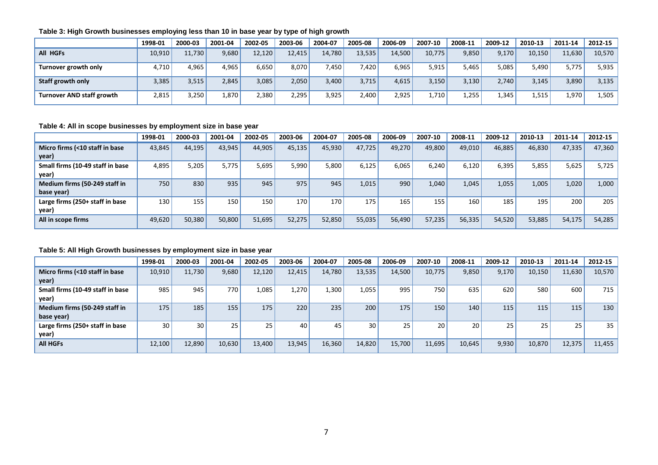|                           | 1998-01 | 2000-03 | 2001-04 | 2002-05 | 2003-06 | 2004-07 | 2005-08 | 2006-09 | 2007-10 | 2008-11 | 2009-12 | 2010-13 | 2011-14 | 2012-15 |
|---------------------------|---------|---------|---------|---------|---------|---------|---------|---------|---------|---------|---------|---------|---------|---------|
| All HGFs                  | 10,910  | 11,730  | 9,680   | 12.120  | 12.415  | 14,780  | 13,535  | 14,500  | 10.775  | 9,850   | 9,170   | 10,150  | 11.630  | 10,570  |
| Turnover growth only      | 4.710   | 4,965   | 4,965   | 6.650   | 8.070   | 7,450   | 7,420   | 6,965   | 5,915   | 5,465   | 5,085   | 5,490   | 5,775   | 5,935   |
| Staff growth only         | 3,385   | 3,515   | 2,845   | 3,085   | 2,050   | 3,400   | 3,715   | 4,615   | 3,150   | 3,130   | 2,740   | 3,145   | 3,890   | 3,135   |
| Turnover AND staff growth | 2,815   | 3,250   | 1,870   | 2,380   | 2,295   | 3,925   | 2,400   | 2,925   | 1,710'  | 1,255   | 1,345   | 1,515'  | 1,970   | 1,505   |

## **Table 3: High Growth businesses employing less than 10 in base year by type of high growth**

#### **Table 4: All in scope businesses by employment size in base year**

|                                  | 1998-01 | 2000-03 | 2001-04 | 2002-05 | 2003-06 | 2004-07 | 2005-08 | 2006-09 | 2007-10 | 2008-11 | 2009-12 | 2010-13 | 2011-14 | 2012-15 |
|----------------------------------|---------|---------|---------|---------|---------|---------|---------|---------|---------|---------|---------|---------|---------|---------|
| Micro firms (<10 staff in base   | 43,845  | 44,195  | 43,945  | 44,905  | 45,135  | 45,930  | 47.725  | 49,270  | 49,800  | 49,010  | 46,885  | 46,830  | 47,335  | 47,360  |
| year)                            |         |         |         |         |         |         |         |         |         |         |         |         |         |         |
| Small firms (10-49 staff in base | 4,895   | 5,205   | 5,775   | 5,695'  | 5,990   | 5,800   | 6,125   | 6,065   | 6,240   | 6.120   | 6,395   | 5,855   | 5,625   | 5,725   |
| year)                            |         |         |         |         |         |         |         |         |         |         |         |         |         |         |
| Medium firms (50-249 staff in    | 750     | 830     | 935     | 945     | 975     | 945     | 1,015   | 990     | 1,040   | 1.045   | 1,055   | 1,005   | 1,020   | 1,000   |
| base year)                       |         |         |         |         |         |         |         |         |         |         |         |         |         |         |
| Large firms (250+ staff in base  | 130     | 155     | 150     | 150     | 170     | 170     | 175     | 165     | 155     | 160     | 185     | 195     | 200     | 205     |
| year)                            |         |         |         |         |         |         |         |         |         |         |         |         |         |         |
| All in scope firms               | 49,620  | 50,380  | 50,800  | 51,695  | 52.275  | 52,850  | 55,035  | 56,490  | 57,235  | 56,335  | 54,520  | 53,885  | 54,175  | 54,285  |
|                                  |         |         |         |         |         |         |         |         |         |         |         |         |         |         |

#### **Table 5: All High Growth businesses by employment size in base year**

|                                  | 1998-01 | 2000-03         | 2001-04 | 2002-05 | 2003-06 | 2004-07 | 2005-08         | 2006-09 | 2007-10 | 2008-11 | 2009-12 | 2010-13 | 2011-14 | 2012-15 |
|----------------------------------|---------|-----------------|---------|---------|---------|---------|-----------------|---------|---------|---------|---------|---------|---------|---------|
| Micro firms (<10 staff in base   | 10,910  | 11,730          | 9,680   | 12,120  | 12.415  | 14,780  | 13,535          | 14,500  | 10,775  | 9,850   | 9,170   | 10,150  | 11,630  | 10,570  |
| year)                            |         |                 |         |         |         |         |                 |         |         |         |         |         |         |         |
| Small firms (10-49 staff in base | 985     | 945             | 770     | 1,085   | 1.270   | 1,300   | 1,055           | 995     | 750     | 635     | 620     | 580     | 600     | 715     |
| year)                            |         |                 |         |         |         |         |                 |         |         |         |         |         |         |         |
| Medium firms (50-249 staff in    | 175     | 185             | 155     | 175     | 220     | 235     | 200             | 175     | 150     | 140     | 115     | 115     | 115     | 130     |
| base year)                       |         |                 |         |         |         |         |                 |         |         |         |         |         |         |         |
| Large firms (250+ staff in base  | 30      | 30 <sup>1</sup> | 25      | 25      | 40      | 45      | 30 <sub>1</sub> | 25      | 20      | 20      | 25      | 25      | 25      | 35      |
| year)                            |         |                 |         |         |         |         |                 |         |         |         |         |         |         |         |
| <b>All HGFs</b>                  | 12,100  | 12,890          | 10,630  | 13,400  | 13,945  | 16,360  | 14,820          | 15,700  | 11,695  | 10,645  | 9,930   | 10,870  | 12,375  | 11,455  |
|                                  |         |                 |         |         |         |         |                 |         |         |         |         |         |         |         |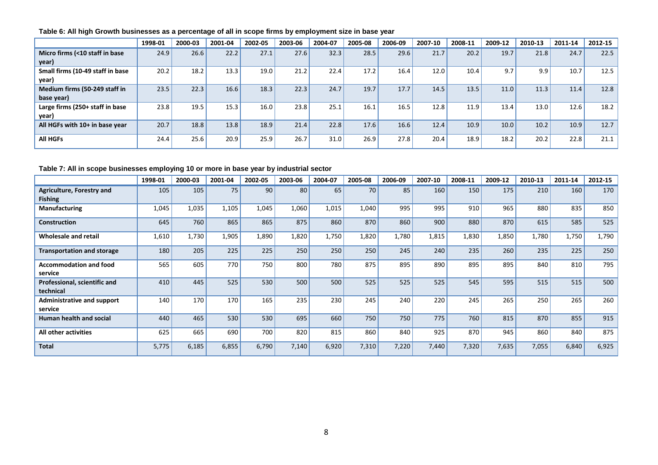|                                             | 1998-01 | 2000-03 | 2001-04 | 2002-05 | 2003-06 | 2004-07 | 2005-08 | 2006-09 | 2007-10 | 2008-11           | 2009-12 | 2010-13 | 2011-14 | 2012-15 |
|---------------------------------------------|---------|---------|---------|---------|---------|---------|---------|---------|---------|-------------------|---------|---------|---------|---------|
| Micro firms (<10 staff in base<br>year)     | 24.9    | 26.6    | 22.2    | 27.1    | 27.6    | 32.3    | 28.5    | 29.6    | 21.7    | 20.2              | 19.7    | 21.8    | 24.7    | 22.5    |
| Small firms (10-49 staff in base<br>year)   | 20.2    | 18.2    | 13.3    | 19.0    | 21.2    | 22.4    | 17.2    | 16.4    | 12.0    | 10.4 <sub>1</sub> | 9.7     | 9.9     | 10.7    | 12.5    |
| Medium firms (50-249 staff in<br>base year) | 23.5    | 22.3    | 16.6    | 18.3    | 22.3    | 24.7    | 19.7    | 17.7    | 14.5    | 13.5              | 11.0    | 11.3    | 11.4    | 12.8    |
| Large firms (250+ staff in base<br>year)    | 23.8    | 19.5    | 15.3    | 16.0    | 23.8    | 25.1    | 16.1    | 16.5    | 12.8    | 11.9              | 13.4    | 13.0    | 12.6    | 18.2    |
| All HGFs with 10+ in base year              | 20.7    | 18.8    | 13.8    | 18.9    | 21.4    | 22.8    | 17.6    | 16.6    | 12.4    | 10.9              | 10.0    | 10.2    | 10.9    | 12.7    |
| <b>All HGFs</b>                             | 24.4    | 25.6    | 20.9    | 25.9    | 26.7    | 31.0    | 26.9    | 27.8    | 20.4    | 18.9              | 18.2    | 20.2    | 22.8    | 21.1    |

#### **Table 6: All high Growth businesses as a percentage of all in scope firms by employment size in base year**

## **Table 7: All in scope businesses employing 10 or more in base year by industrial sector**

|                                              | 1998-01 | 2000-03 | 2001-04 | 2002-05 | 2003-06 | 2004-07 | 2005-08 | 2006-09 | 2007-10 | 2008-11 | 2009-12 | 2010-13 | 2011-14 | 2012-15 |
|----------------------------------------------|---------|---------|---------|---------|---------|---------|---------|---------|---------|---------|---------|---------|---------|---------|
| Agriculture, Forestry and<br><b>Fishing</b>  | 105     | 105     | 75      | 90      | 80      | 65      | 70      | 85      | 160     | 150     | 175     | 210     | 160     | 170     |
| <b>Manufacturing</b>                         | 1,045   | 1,035   | 1,105   | 1,045   | 1,060   | 1,015   | 1,040   | 995     | 995     | 910     | 965     | 880     | 835     | 850     |
| <b>Construction</b>                          | 645     | 760     | 865     | 865     | 875     | 860     | 870     | 860     | 900     | 880     | 870     | 615     | 585     | 525     |
| Wholesale and retail                         | 1,610   | 1,730   | 1,905   | 1,890   | 1,820   | 1,750   | 1,820   | 1,780   | 1,815   | 1,830   | 1,850   | 1,780   | 1,750   | 1,790   |
| <b>Transportation and storage</b>            | 180     | 205     | 225     | 225     | 250     | 250     | 250     | 245     | 240     | 235     | 260     | 235     | 225     | 250     |
| <b>Accommodation and food</b><br>service     | 565     | 605     | 770     | 750     | 800     | 780     | 875     | 895     | 890     | 895     | 895     | 840     | 810     | 795     |
| Professional, scientific and<br>technical    | 410     | 445     | 525     | 530     | 500     | 500     | 525     | 525     | 525     | 545     | 595     | 515     | 515     | 500     |
| <b>Administrative and support</b><br>service | 140     | 170     | 170     | 165     | 235     | 230     | 245     | 240     | 220     | 245     | 265     | 250     | 265     | 260     |
| <b>Human health and social</b>               | 440     | 465     | 530     | 530     | 695     | 660     | 750     | 750     | 775     | 760     | 815     | 870     | 855     | 915     |
| All other activities                         | 625     | 665     | 690     | 700     | 820     | 815     | 860     | 840     | 925     | 870     | 945     | 860     | 840     | 875     |
| <b>Total</b>                                 | 5,775   | 6,185   | 6,855   | 6,790   | 7,140   | 6,920   | 7,310   | 7,220   | 7,440   | 7,320   | 7,635   | 7,055   | 6,840   | 6,925   |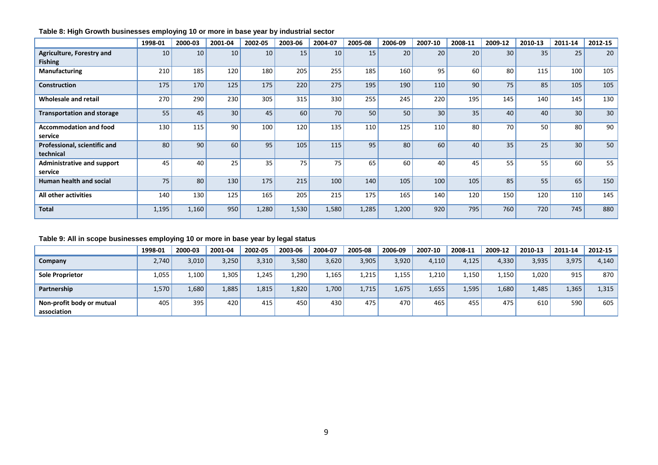|                                              | 1998-01 | 2000-03 | 2001-04 | 2002-05 | 2003-06 | 2004-07 | 2005-08 | 2006-09 | 2007-10 | 2008-11 | 2009-12 | 2010-13 | 2011-14 | 2012-15 |
|----------------------------------------------|---------|---------|---------|---------|---------|---------|---------|---------|---------|---------|---------|---------|---------|---------|
| Agriculture, Forestry and<br><b>Fishing</b>  | 10      | 10      | 10      | 10      | 15      | 10      | 15      | 20      | 20      | 20      | 30      | 35      | 25      | 20      |
| <b>Manufacturing</b>                         | 210     | 185     | 120     | 180     | 205     | 255     | 185     | 160     | 95      | 60      | 80      | 115     | 100     | 105     |
| <b>Construction</b>                          | 175     | 170     | 125     | 175     | 220     | 275     | 195     | 190     | 110     | 90      | 75      | 85      | 105     | 105     |
| Wholesale and retail                         | 270     | 290     | 230     | 305     | 315     | 330     | 255     | 245     | 220     | 195     | 145     | 140     | 145     | 130     |
| <b>Transportation and storage</b>            | 55      | 45      | 30      | 45      | 60      | 70      | 50      | 50      | 30      | 35      | 40      | 40      | 30      | 30      |
| <b>Accommodation and food</b><br>service     | 130     | 115     | 90      | 100     | 120     | 135     | 110     | 125     | 110     | 80      | 70      | 50      | 80      | 90      |
| Professional, scientific and<br>technical    | 80      | 90      | 60      | 95      | 105     | 115     | 95      | 80      | 60      | 40      | 35      | 25      | 30      | 50      |
| <b>Administrative and support</b><br>service | 45      | 40      | 25      | 35      | 75      | 75      | 65      | 60      | 40      | 45      | 55      | 55      | 60      | 55      |
| <b>Human health and social</b>               | 75      | 80      | 130     | 175     | 215     | 100     | 140     | 105     | 100     | 105     | 85      | 55      | 65      | 150     |
| All other activities                         | 140     | 130     | 125     | 165     | 205     | 215     | 175     | 165     | 140     | 120     | 150     | 120     | 110     | 145     |
| <b>Total</b>                                 | 1,195   | 1,160   | 950     | 1,280   | 1,530   | 1,580   | 1,285   | 1,200   | 920     | 795     | 760     | 720     | 745     | 880     |

# **Table 8: High Growth businesses employing 10 or more in base year by industrial sector**

# **Table 9: All in scope businesses employing 10 or more in base year by legal status**

|                                          | 1998-01 | 2000-03 | 2001-04 | 2002-05 | 2003-06 | 2004-07 | 2005-08 | 2006-09 | 2007-10 | 2008-11 | 2009-12 | 2010-13 | 2011-14 | $2012 - 15$ |
|------------------------------------------|---------|---------|---------|---------|---------|---------|---------|---------|---------|---------|---------|---------|---------|-------------|
| Company                                  | 2,740   | 3,010   | 3,250   | 3,310   | 3,580   | 3,620   | 3,905   | 3,920   | 4,110   | 4,125'  | 4,330   | 3,935   | 3,975   | 4,140       |
| <b>Sole Proprietor</b>                   | 1,055   | 1,100   | .,305   | .245    | 290ء    | 1,165   | 1,215   | .,155   | ' 210,  | .,150   | 1,150   | 1,020   | 915     | 870         |
| Partnership                              | 1,570V  | 1,680'  | 1,885   | 1,815   | 1,820   | 1,700   | 1,715'  | .,675   | 1,655   | 1,595   | 1,680   | 1,485'  | 1,365'  | 1,315       |
| Non-profit body or mutual<br>association | 405     | 395     | 420     | 415     | 450     | 430     | 475     | 470     | 465     | 455     | 475     | 610     | 590     | 605         |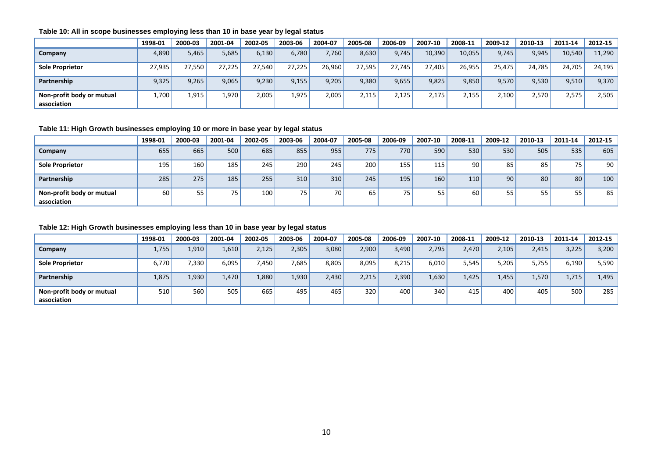|                                          | 1998-01 | 2000-03 | 2001-04 | 2002-05 | 2003-06 | 2004-07 | 2005-08 | 2006-09 | 2007-10 | 2008-11 | 2009-12 | 2010-13 | 2011-14 | 2012-15 |
|------------------------------------------|---------|---------|---------|---------|---------|---------|---------|---------|---------|---------|---------|---------|---------|---------|
| Company                                  | 4,890   | 5,465   | 5,685   | 6,130   | 6,780   | 7,760   | 8,630   | 9,745   | 10,390  | 10,055  | 9,745   | 9,945   | 10,540  | 11,290  |
| <b>Sole Proprietor</b>                   | 27,935  | 27,550  | 27,225  | 27,540  | 27,225  | 26,960  | 27,595  | 27.745  | 27,405  | 26,955  | 25,475  | 24,785  | 24,705  | 24,195  |
| Partnership                              | 9,325   | 9,265   | 9,065   | 9,230   | 9,155   | 9,205   | 9,380   | 9,655   | 9,825   | 9,850   | 9,570   | 9,530   | 9,510   | 9,370   |
| Non-profit body or mutual<br>association | 1,700   | 1,915'  | 1,970   | 2,005   | 1,975   | 2,005   | 2,115   | 2,125   | 2,175   | 2,155   | 2,100   | 2.570   | 2,575   | 2,505   |

#### **Table 10: All in scope businesses employing less than 10 in base year by legal status**

#### **Table 11: High Growth businesses employing 10 or more in base year by legal status**

|                                          | 1998-01 | 2000-03 | 2001-04 | 2002-05 | 2003-06 | 2004-07          | 2005-08          | 2006-09 | 2007-10 | 2008-11 | 2009-12 | 2010-13         | 2011-14         | 2012-15 |
|------------------------------------------|---------|---------|---------|---------|---------|------------------|------------------|---------|---------|---------|---------|-----------------|-----------------|---------|
| Company                                  | 655     | 665     | 500     | 685     | 855     | 955              | 775 <sub>1</sub> | 770     | 590     | 530     | 530     | 505             | 535             | 605     |
| <b>Sole Proprietor</b>                   | 195     | 160     | 185     | 245     | 290     | 245              | 200              | 155     | 115     | 90      | 85      | 85              | 75              | 90      |
| Partnership                              | 285     | 275     | 185     | 255     | 310     | 310 <sub>1</sub> | 245              | 195     | 160     | 110     | 90      | 80 <sup>1</sup> | 80 <sub>1</sub> | 100     |
| Non-profit body or mutual<br>association | 60      | 55      | – –     | 100     | 75      | 70 <sub>1</sub>  | 65               | 75      | 55      | 60      | 55      | 55              | 55              | 85      |

#### **Table 12: High Growth businesses employing less than 10 in base year by legal status**

|                                          | 1998-01 | 2000-03            | 2001-04 | 2002-05 | 2003-06 | 2004-07 | 2005-08          | 2006-09 | 2007-10 | 2008-11 | 2009-12 | 2010-13 | 2011-14 | 2012-15 |
|------------------------------------------|---------|--------------------|---------|---------|---------|---------|------------------|---------|---------|---------|---------|---------|---------|---------|
| Company                                  | 1,755   | 1,910 l            | 1,610   | 2,125   | 2,305   | 3,080   | 2,900            | 3,490   | 2.795   | 2.470   | 2,105   | 2,415   | 3,225   | 3,200   |
| <b>Sole Proprietor</b>                   | 6,770   | 7,330 <sub>1</sub> | 6,095   | 7,450   | 7,685   | 8,805   | 8,095            | 8,215   | 6,010   | 5,545   | 5,205   | 5,755   | 6,190   | 5,590   |
| Partnership                              | 1,875   | 1,930              | 1.470   | 1,880   | 1,930   | 2,430'  | 2,215            | 2,390   | 1,630   | 1.425   | 1,455   | 1,570   | 1,715   | 1,495   |
| Non-profit body or mutual<br>association | 510     | 560                | 505     | 665     | 495     | 465     | 320 <sub>1</sub> | 400     | 340     | 415     | 400     | 405     | 500     | 285     |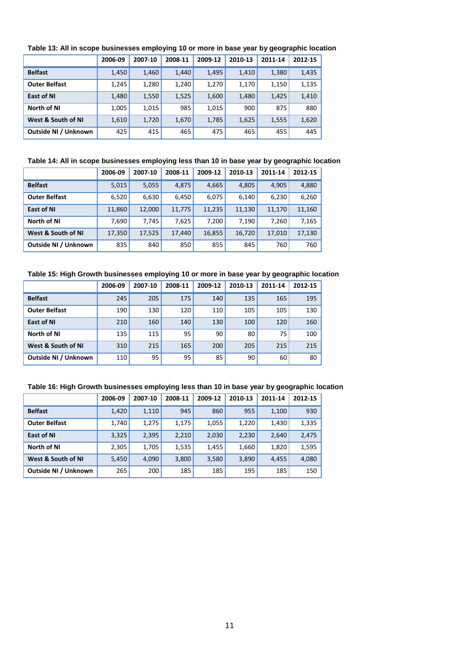|                      | 2006-09 | 2007-10 | 2008-11 | 2009-12 | 2010-13 | 2011-14 | 2012-15 |
|----------------------|---------|---------|---------|---------|---------|---------|---------|
| <b>Belfast</b>       | 1,450   | 1,460   | 1,440   | 1,495   | 1,410   | 1,380   | 1,435   |
| <b>Outer Belfast</b> | 1,245   | 1,280   | 1,240   | 1,270   | 1,170   | 1,150   | 1,135   |
| <b>East of NI</b>    | 1,480   | 1,550   | 1,525   | 1,600   | 1,480   | 1,425   | 1,410   |
| North of NI          | 1,005   | 1,015   | 985     | 1,015   | 900     | 875     | 880     |
| West & South of NI   | 1,610   | 1,720   | 1,670   | 1,785   | 1,625   | 1,555   | 1,620   |
| Outside NI / Unknown | 425     | 415     | 465     | 475     | 465     | 455     | 445     |

#### **Table 13: All in scope businesses employing 10 or more in base year by geographic location**

#### **Table 14: All in scope businesses employing less than 10 in base year by geographic location**

|                      | 2006-09 | 2007-10 | 2008-11 | 2009-12 | 2010-13 | 2011-14 | 2012-15 |
|----------------------|---------|---------|---------|---------|---------|---------|---------|
| <b>Belfast</b>       | 5,015   | 5,055   | 4,875   | 4,665   | 4,805   | 4,905   | 4,880   |
| <b>Outer Belfast</b> | 6,520   | 6,630   | 6,450   | 6,075   | 6,140   | 6,230   | 6,260   |
| <b>East of NI</b>    | 11,860  | 12,000  | 11,775  | 11,235  | 11,130  | 11,170  | 11,160  |
| North of NI          | 7,690   | 7,745   | 7,625   | 7,200   | 7,190   | 7,260   | 7,165   |
| West & South of NI   | 17,350  | 17,525  | 17,440  | 16,855  | 16,720  | 17,010  | 17,130  |
| Outside NI / Unknown | 835     | 840     | 850     | 855     | 845     | 760     | 760     |

#### **Table 15: High Growth businesses employing 10 or more in base year by geographic location**

|                      | 2006-09 | 2007-10 | 2008-11 | 2009-12 | 2010-13 | 2011-14 | 2012-15 |
|----------------------|---------|---------|---------|---------|---------|---------|---------|
| <b>Belfast</b>       | 245     | 205     | 175     | 140     | 135     | 165     | 195     |
| <b>Outer Belfast</b> | 190     | 130     | 120     | 110     | 105     | 105     | 130     |
| <b>East of NI</b>    | 210     | 160     | 140     | 130     | 100     | 120     | 160     |
| North of NI          | 135     | 115     | 95      | 90      | 80      | 75      | 100     |
| West & South of NI   | 310     | 215     | 165     | 200     | 205     | 215     | 215     |
| Outside NI / Unknown | 110     | 95      | 95      | 85      | 90      | 60      | 80      |

#### **Table 16: High Growth businesses employing less than 10 in base year by geographic location**

|                      | 2006-09 | 2007-10 | 2008-11 | 2009-12 | 2010-13 | 2011-14 | 2012-15 |
|----------------------|---------|---------|---------|---------|---------|---------|---------|
| <b>Belfast</b>       | 1,420   | 1,110   | 945     | 860     | 955     | 1,100   | 930     |
| <b>Outer Belfast</b> | 1,740   | 1,275   | 1,175   | 1,055   | 1,220   | 1,430   | 1,335   |
| <b>East of NI</b>    | 3,325   | 2,395   | 2,210   | 2,030   | 2,230   | 2,640   | 2,475   |
| North of NI          | 2,305   | 1,705   | 1,535   | 1,455   | 1,660   | 1,820   | 1,595   |
| West & South of NI   | 5,450   | 4,090   | 3,800   | 3,580   | 3,890   | 4,455   | 4,080   |
| Outside NI / Unknown | 265     | 200     | 185     | 185     | 195     | 185     | 150     |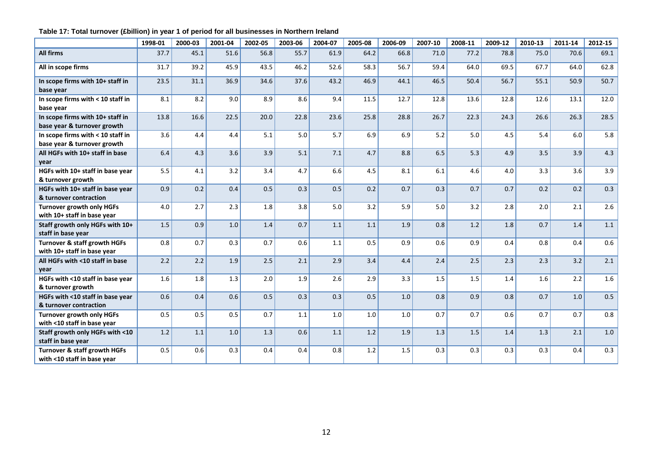|                                                                  | 1998-01 | 2000-03 | 2001-04 | 2002-05 | 2003-06 | 2004-07 | 2005-08 | 2006-09 | 2007-10 | 2008-11 | 2009-12 | 2010-13 | 2011-14 | 2012-15 |
|------------------------------------------------------------------|---------|---------|---------|---------|---------|---------|---------|---------|---------|---------|---------|---------|---------|---------|
| <b>All firms</b>                                                 | 37.7    | 45.1    | 51.6    | 56.8    | 55.7    | 61.9    | 64.2    | 66.8    | 71.0    | 77.2    | 78.8    | 75.0    | 70.6    | 69.1    |
| All in scope firms                                               | 31.7    | 39.2    | 45.9    | 43.5    | 46.2    | 52.6    | 58.3    | 56.7    | 59.4    | 64.0    | 69.5    | 67.7    | 64.0    | 62.8    |
| In scope firms with 10+ staff in<br>base year                    | 23.5    | 31.1    | 36.9    | 34.6    | 37.6    | 43.2    | 46.9    | 44.1    | 46.5    | 50.4    | 56.7    | 55.1    | 50.9    | 50.7    |
| In scope firms with < 10 staff in<br>base year                   | 8.1     | 8.2     | 9.0     | 8.9     | 8.6     | 9.4     | 11.5    | 12.7    | 12.8    | 13.6    | 12.8    | 12.6    | 13.1    | 12.0    |
| In scope firms with 10+ staff in<br>base year & turnover growth  | 13.8    | 16.6    | 22.5    | 20.0    | 22.8    | 23.6    | 25.8    | 28.8    | 26.7    | 22.3    | 24.3    | 26.6    | 26.3    | 28.5    |
| In scope firms with < 10 staff in<br>base year & turnover growth | 3.6     | 4.4     | 4.4     | 5.1     | 5.0     | 5.7     | 6.9     | 6.9     | 5.2     | 5.0     | 4.5     | 5.4     | 6.0     | 5.8     |
| All HGFs with 10+ staff in base<br>year                          | 6.4     | 4.3     | 3.6     | 3.9     | 5.1     | 7.1     | 4.7     | 8.8     | 6.5     | 5.3     | 4.9     | 3.5     | 3.9     | 4.3     |
| HGFs with 10+ staff in base year<br>& turnover growth            | 5.5     | 4.1     | 3.2     | 3.4     | 4.7     | 6.6     | 4.5     | 8.1     | 6.1     | 4.6     | 4.0     | 3.3     | 3.6     | 3.9     |
| HGFs with 10+ staff in base year<br>& turnover contraction       | 0.9     | 0.2     | 0.4     | 0.5     | 0.3     | 0.5     | 0.2     | 0.7     | 0.3     | 0.7     | 0.7     | 0.2     | 0.2     | 0.3     |
| <b>Turnover growth only HGFs</b><br>with 10+ staff in base year  | 4.0     | 2.7     | 2.3     | 1.8     | 3.8     | 5.0     | 3.2     | 5.9     | 5.0     | 3.2     | 2.8     | 2.0     | 2.1     | 2.6     |
| Staff growth only HGFs with 10+<br>staff in base year            | 1.5     | 0.9     | 1.0     | 1.4     | 0.7     | 1.1     | 1.1     | 1.9     | 0.8     | 1.2     | 1.8     | 0.7     | 1.4     | 1.1     |
| Turnover & staff growth HGFs<br>with 10+ staff in base year      | 0.8     | 0.7     | 0.3     | 0.7     | 0.6     | 1.1     | 0.5     | 0.9     | 0.6     | 0.9     | 0.4     | 0.8     | 0.4     | $0.6\,$ |
| All HGFs with <10 staff in base<br>year                          | 2.2     | 2.2     | 1.9     | 2.5     | 2.1     | 2.9     | 3.4     | 4.4     | 2.4     | 2.5     | 2.3     | 2.3     | 3.2     | 2.1     |
| HGFs with <10 staff in base year<br>& turnover growth            | 1.6     | 1.8     | 1.3     | 2.0     | 1.9     | 2.6     | 2.9     | 3.3     | 1.5     | 1.5     | 1.4     | 1.6     | 2.2     | $1.6\,$ |
| HGFs with <10 staff in base year<br>& turnover contraction       | 0.6     | 0.4     | 0.6     | 0.5     | 0.3     | 0.3     | 0.5     | 1.0     | 0.8     | 0.9     | 0.8     | 0.7     | 1.0     | 0.5     |
| <b>Turnover growth only HGFs</b><br>with <10 staff in base year  | 0.5     | 0.5     | 0.5     | 0.7     | 1.1     | 1.0     | 1.0     | 1.0     | 0.7     | 0.7     | 0.6     | 0.7     | 0.7     | 0.8     |
| Staff growth only HGFs with <10<br>staff in base year            | 1.2     | 1.1     | 1.0     | 1.3     | 0.6     | 1.1     | 1.2     | 1.9     | 1.3     | 1.5     | 1.4     | 1.3     | 2.1     | 1.0     |
| Turnover & staff growth HGFs<br>with <10 staff in base year      | 0.5     | 0.6     | 0.3     | 0.4     | 0.4     | 0.8     | 1.2     | 1.5     | 0.3     | 0.3     | 0.3     | 0.3     | 0.4     | 0.3     |

## **Table 17: Total turnover (£billion) in year 1 of period for all businesses in Northern Ireland**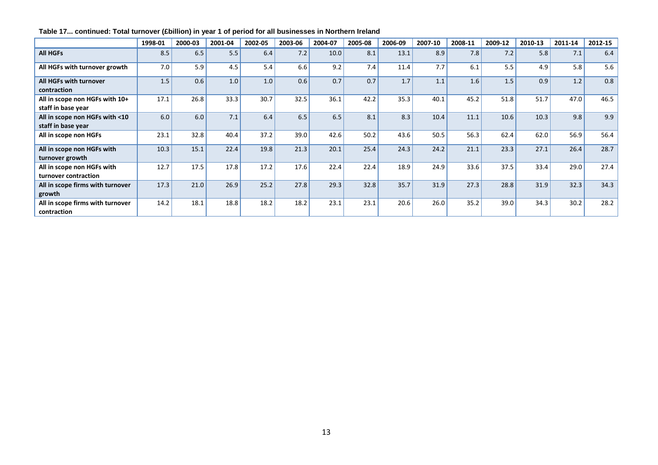|                                                      | 1998-01 | 2000-03 | 2001-04 | 2002-05 | 2003-06 | 2004-07 | 2005-08 | 2006-09 | 2007-10 | 2008-11 | 2009-12 | 2010-13 | 2011-14 | 2012-15 |
|------------------------------------------------------|---------|---------|---------|---------|---------|---------|---------|---------|---------|---------|---------|---------|---------|---------|
| <b>All HGFs</b>                                      | 8.5     | 6.5     | 5.5     | 6.4     | 7.2     | 10.0    | 8.1     | 13.1    | 8.9     | 7.8     | 7.2     | 5.8     | 7.1     | 6.4     |
| All HGFs with turnover growth                        | 7.0     | 5.9     | 4.5     | 5.4     | 6.6     | 9.2     | 7.4     | 11.4    | 7.7     | 6.1     | 5.5     | 4.9     | 5.8     | 5.6     |
| All HGFs with turnover<br>contraction                | 1.5     | 0.6     | 1.0     | 1.0     | 0.6     | 0.7     | 0.7     | 1.7     | 1.1     | 1.6     | 1.5     | 0.9     | 1.2     | 0.8     |
| All in scope non HGFs with 10+<br>staff in base year | 17.1    | 26.8    | 33.3    | 30.7    | 32.5    | 36.1    | 42.2    | 35.3    | 40.1    | 45.2    | 51.8    | 51.7    | 47.0    | 46.5    |
| All in scope non HGFs with <10<br>staff in base year | 6.0     | 6.0     | 7.1     | 6.4     | 6.5     | 6.5     | 8.1     | 8.3     | 10.4    | 11.1    | 10.6    | 10.3    | 9.8     | 9.9     |
| All in scope non HGFs                                | 23.1    | 32.8    | 40.4    | 37.2    | 39.0    | 42.6    | 50.2    | 43.6    | 50.5    | 56.3    | 62.4    | 62.0    | 56.9    | 56.4    |
| All in scope non HGFs with<br>turnover growth        | 10.3    | 15.1    | 22.4    | 19.8    | 21.3    | 20.1    | 25.4    | 24.3    | 24.2    | 21.1    | 23.3    | 27.1    | 26.4    | 28.7    |
| All in scope non HGFs with<br>turnover contraction   | 12.7    | 17.5    | 17.8    | 17.2    | 17.6    | 22.4    | 22.4    | 18.9    | 24.9    | 33.6    | 37.5    | 33.4    | 29.0    | 27.4    |
| All in scope firms with turnover<br>growth           | 17.3    | 21.0    | 26.9    | 25.2    | 27.8    | 29.3    | 32.8    | 35.7    | 31.9    | 27.3    | 28.8    | 31.9    | 32.3    | 34.3    |
| All in scope firms with turnover<br>contraction      | 14.2    | 18.1    | 18.8    | 18.2    | 18.2    | 23.1    | 23.1    | 20.6    | 26.0    | 35.2    | 39.0    | 34.3    | 30.2    | 28.2    |

# **Table 17... continued: Total turnover (£billion) in year 1 of period for all businesses in Northern Ireland**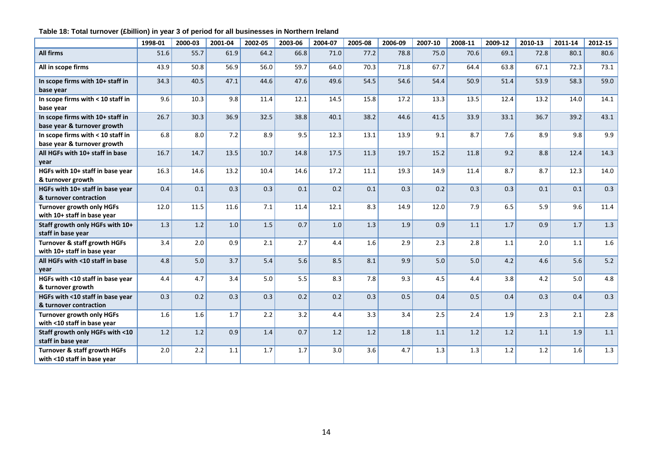## **Table 18: Total turnover (£billion) in year 3 of period for all businesses in Northern Ireland**

|                                                                  | 1998-01 | 2000-03 | 2001-04 | 2002-05 | 2003-06 | 2004-07 | 2005-08 | 2006-09 | 2007-10 | 2008-11 | 2009-12 | 2010-13 | 2011-14 | 2012-15 |
|------------------------------------------------------------------|---------|---------|---------|---------|---------|---------|---------|---------|---------|---------|---------|---------|---------|---------|
| <b>All firms</b>                                                 | 51.6    | 55.7    | 61.9    | 64.2    | 66.8    | 71.0    | 77.2    | 78.8    | 75.0    | 70.6    | 69.1    | 72.8    | 80.1    | 80.6    |
| All in scope firms                                               | 43.9    | 50.8    | 56.9    | 56.0    | 59.7    | 64.0    | 70.3    | 71.8    | 67.7    | 64.4    | 63.8    | 67.1    | 72.3    | 73.1    |
| In scope firms with 10+ staff in<br>base year                    | 34.3    | 40.5    | 47.1    | 44.6    | 47.6    | 49.6    | 54.5    | 54.6    | 54.4    | 50.9    | 51.4    | 53.9    | 58.3    | 59.0    |
| In scope firms with < 10 staff in<br>base year                   | 9.6     | 10.3    | 9.8     | 11.4    | 12.1    | 14.5    | 15.8    | 17.2    | 13.3    | 13.5    | 12.4    | 13.2    | 14.0    | 14.1    |
| In scope firms with 10+ staff in<br>base year & turnover growth  | 26.7    | 30.3    | 36.9    | 32.5    | 38.8    | 40.1    | 38.2    | 44.6    | 41.5    | 33.9    | 33.1    | 36.7    | 39.2    | 43.1    |
| In scope firms with < 10 staff in<br>base year & turnover growth | 6.8     | 8.0     | 7.2     | 8.9     | 9.5     | 12.3    | 13.1    | 13.9    | 9.1     | 8.7     | 7.6     | 8.9     | 9.8     | 9.9     |
| All HGFs with 10+ staff in base<br>year                          | 16.7    | 14.7    | 13.5    | 10.7    | 14.8    | 17.5    | 11.3    | 19.7    | 15.2    | 11.8    | 9.2     | 8.8     | 12.4    | 14.3    |
| HGFs with 10+ staff in base year<br>& turnover growth            | 16.3    | 14.6    | 13.2    | 10.4    | 14.6    | 17.2    | 11.1    | 19.3    | 14.9    | 11.4    | 8.7     | 8.7     | 12.3    | 14.0    |
| HGFs with 10+ staff in base year<br>& turnover contraction       | 0.4     | 0.1     | 0.3     | 0.3     | 0.1     | 0.2     | 0.1     | 0.3     | 0.2     | 0.3     | 0.3     | 0.1     | 0.1     | 0.3     |
| <b>Turnover growth only HGFs</b><br>with 10+ staff in base year  | 12.0    | 11.5    | 11.6    | 7.1     | 11.4    | 12.1    | 8.3     | 14.9    | 12.0    | 7.9     | 6.5     | 5.9     | 9.6     | 11.4    |
| Staff growth only HGFs with 10+<br>staff in base year            | 1.3     | 1.2     | 1.0     | 1.5     | 0.7     | 1.0     | 1.3     | 1.9     | 0.9     | 1.1     | 1.7     | 0.9     | 1.7     | 1.3     |
| Turnover & staff growth HGFs<br>with 10+ staff in base year      | 3.4     | 2.0     | 0.9     | 2.1     | 2.7     | 4.4     | 1.6     | 2.9     | 2.3     | 2.8     | 1.1     | 2.0     | 1.1     | 1.6     |
| All HGFs with <10 staff in base<br>year                          | 4.8     | 5.0     | 3.7     | 5.4     | 5.6     | 8.5     | 8.1     | 9.9     | 5.0     | 5.0     | 4.2     | 4.6     | 5.6     | $5.2$   |
| HGFs with <10 staff in base year<br>& turnover growth            | 4.4     | 4.7     | 3.4     | 5.0     | 5.5     | 8.3     | 7.8     | 9.3     | 4.5     | 4.4     | 3.8     | 4.2     | 5.0     | 4.8     |
| HGFs with <10 staff in base year<br>& turnover contraction       | 0.3     | 0.2     | 0.3     | 0.3     | 0.2     | 0.2     | 0.3     | 0.5     | 0.4     | 0.5     | 0.4     | 0.3     | 0.4     | 0.3     |
| <b>Turnover growth only HGFs</b><br>with <10 staff in base year  | 1.6     | 1.6     | 1.7     | 2.2     | 3.2     | 4.4     | 3.3     | 3.4     | 2.5     | 2.4     | 1.9     | 2.3     | 2.1     | 2.8     |
| Staff growth only HGFs with <10<br>staff in base year            | 1.2     | 1.2     | 0.9     | 1.4     | 0.7     | 1.2     | 1.2     | 1.8     | 1.1     | 1.2     | 1.2     | 1.1     | 1.9     | 1.1     |
| Turnover & staff growth HGFs<br>with <10 staff in base year      | 2.0     | 2.2     | 1.1     | 1.7     | 1.7     | 3.0     | 3.6     | 4.7     | 1.3     | 1.3     | 1.2     | 1.2     | 1.6     | 1.3     |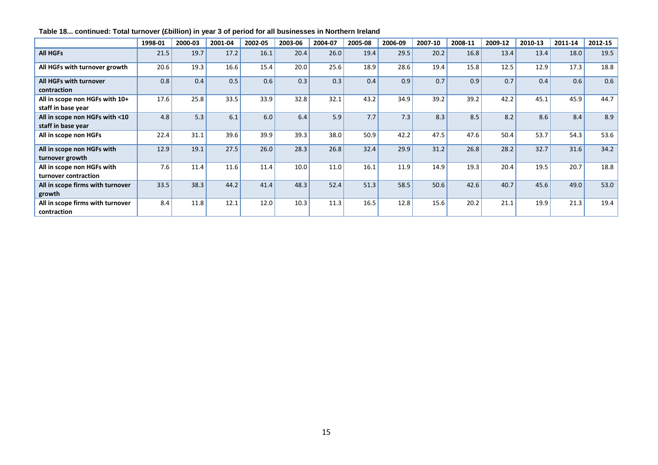|                                                      | 1998-01 | 2000-03 | 2001-04 | 2002-05 | 2003-06 | 2004-07 | 2005-08 | 2006-09 | 2007-10 | 2008-11 | 2009-12 | 2010-13 | 2011-14 | 2012-15 |
|------------------------------------------------------|---------|---------|---------|---------|---------|---------|---------|---------|---------|---------|---------|---------|---------|---------|
| <b>All HGFs</b>                                      | 21.5    | 19.7    | 17.2    | 16.1    | 20.4    | 26.0    | 19.4    | 29.5    | 20.2    | 16.8    | 13.4    | 13.4    | 18.0    | 19.5    |
| All HGFs with turnover growth                        | 20.6    | 19.3    | 16.6    | 15.4    | 20.0    | 25.6    | 18.9    | 28.6    | 19.4    | 15.8    | 12.5    | 12.9    | 17.3    | 18.8    |
| All HGFs with turnover<br>contraction                | 0.8     | 0.4     | 0.5     | 0.6     | 0.3     | 0.3     | 0.4     | 0.9     | 0.7     | 0.9     | 0.7     | 0.4     | 0.6     | 0.6     |
| All in scope non HGFs with 10+<br>staff in base year | 17.6    | 25.8    | 33.5    | 33.9    | 32.8    | 32.1    | 43.2    | 34.9    | 39.2    | 39.2    | 42.2    | 45.1    | 45.9    | 44.7    |
| All in scope non HGFs with <10<br>staff in base year | 4.8     | 5.3     | 6.1     | 6.0     | 6.4     | 5.9     | 7.7     | 7.3     | 8.3     | 8.5     | 8.2     | 8.6     | 8.4     | 8.9     |
| All in scope non HGFs                                | 22.4    | 31.1    | 39.6    | 39.9    | 39.3    | 38.0    | 50.9    | 42.2    | 47.5    | 47.6    | 50.4    | 53.7    | 54.3    | 53.6    |
| All in scope non HGFs with<br>turnover growth        | 12.9    | 19.1    | 27.5    | 26.0    | 28.3    | 26.8    | 32.4    | 29.9    | 31.2    | 26.8    | 28.2    | 32.7    | 31.6    | 34.2    |
| All in scope non HGFs with<br>turnover contraction   | 7.6     | 11.4    | 11.6    | 11.4    | 10.0    | 11.0    | 16.1    | 11.9    | 14.9    | 19.3    | 20.4    | 19.5    | 20.7    | 18.8    |
| All in scope firms with turnover<br>growth           | 33.5    | 38.3    | 44.2    | 41.4    | 48.3    | 52.4    | 51.3    | 58.5    | 50.6    | 42.6    | 40.7    | 45.6    | 49.0    | 53.0    |
| All in scope firms with turnover<br>contraction      | 8.4     | 11.8    | 12.1    | 12.0    | 10.3    | 11.3    | 16.5    | 12.8    | 15.6    | 20.2    | 21.1    | 19.9    | 21.3    | 19.4    |

**Table 18... continued: Total turnover (£billion) in year 3 of period for all businesses in Northern Ireland**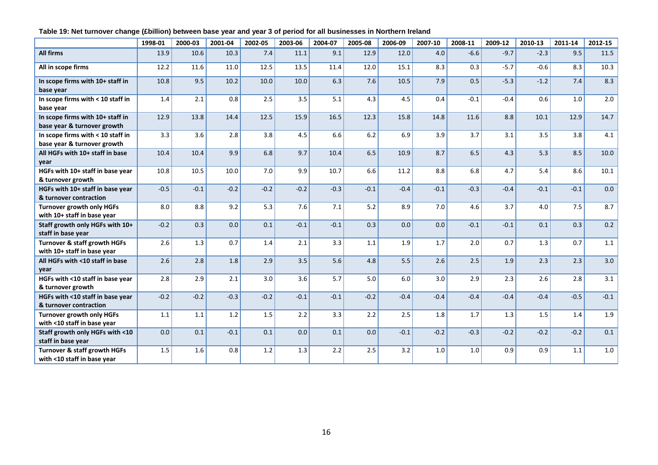## **Table 19: Net turnover change (£billion) between base year and year 3 of period for all businesses in Northern Ireland**

|                                                                  | 1998-01 | 2000-03 | 2001-04 | 2002-05 | 2003-06 | 2004-07 | 2005-08 | 2006-09 | 2007-10 | 2008-11 | 2009-12 | 2010-13 | 2011-14 | 2012-15 |
|------------------------------------------------------------------|---------|---------|---------|---------|---------|---------|---------|---------|---------|---------|---------|---------|---------|---------|
| All firms                                                        | 13.9    | 10.6    | 10.3    | 7.4     | 11.1    | 9.1     | 12.9    | 12.0    | 4.0     | $-6.6$  | $-9.7$  | $-2.3$  | 9.5     | 11.5    |
| All in scope firms                                               | 12.2    | 11.6    | 11.0    | 12.5    | 13.5    | 11.4    | 12.0    | 15.1    | 8.3     | 0.3     | $-5.7$  | $-0.6$  | 8.3     | 10.3    |
| In scope firms with 10+ staff in<br>base year                    | 10.8    | 9.5     | 10.2    | 10.0    | 10.0    | 6.3     | 7.6     | 10.5    | 7.9     | 0.5     | $-5.3$  | $-1.2$  | 7.4     | 8.3     |
| In scope firms with < 10 staff in<br>base year                   | 1.4     | 2.1     | 0.8     | 2.5     | 3.5     | 5.1     | 4.3     | 4.5     | 0.4     | $-0.1$  | $-0.4$  | 0.6     | $1.0$   | 2.0     |
| In scope firms with 10+ staff in<br>base year & turnover growth  | 12.9    | 13.8    | 14.4    | 12.5    | 15.9    | 16.5    | 12.3    | 15.8    | 14.8    | 11.6    | 8.8     | 10.1    | 12.9    | 14.7    |
| In scope firms with < 10 staff in<br>base year & turnover growth | 3.3     | 3.6     | 2.8     | 3.8     | 4.5     | 6.6     | $6.2$   | 6.9     | 3.9     | 3.7     | 3.1     | 3.5     | 3.8     | 4.1     |
| All HGFs with 10+ staff in base<br>vear                          | 10.4    | 10.4    | 9.9     | 6.8     | 9.7     | 10.4    | 6.5     | 10.9    | 8.7     | 6.5     | 4.3     | 5.3     | 8.5     | 10.0    |
| HGFs with 10+ staff in base year<br>& turnover growth            | 10.8    | 10.5    | 10.0    | 7.0     | 9.9     | 10.7    | 6.6     | 11.2    | 8.8     | 6.8     | 4.7     | 5.4     | 8.6     | 10.1    |
| HGFs with 10+ staff in base year<br>& turnover contraction       | $-0.5$  | $-0.1$  | $-0.2$  | $-0.2$  | $-0.2$  | $-0.3$  | $-0.1$  | $-0.4$  | $-0.1$  | $-0.3$  | $-0.4$  | $-0.1$  | $-0.1$  | 0.0     |
| <b>Turnover growth only HGFs</b><br>with 10+ staff in base year  | 8.0     | 8.8     | 9.2     | 5.3     | 7.6     | 7.1     | 5.2     | 8.9     | 7.0     | 4.6     | 3.7     | 4.0     | 7.5     | 8.7     |
| Staff growth only HGFs with 10+<br>staff in base year            | $-0.2$  | 0.3     | 0.0     | 0.1     | $-0.1$  | $-0.1$  | 0.3     | 0.0     | 0.0     | $-0.1$  | $-0.1$  | 0.1     | 0.3     | 0.2     |
| Turnover & staff growth HGFs<br>with 10+ staff in base year      | 2.6     | 1.3     | 0.7     | 1.4     | 2.1     | 3.3     | 1.1     | 1.9     | 1.7     | 2.0     | 0.7     | 1.3     | 0.7     | 1.1     |
| All HGFs with <10 staff in base<br>vear                          | 2.6     | 2.8     | 1.8     | 2.9     | 3.5     | 5.6     | 4.8     | 5.5     | 2.6     | 2.5     | 1.9     | 2.3     | 2.3     | 3.0     |
| HGFs with <10 staff in base year<br>& turnover growth            | 2.8     | 2.9     | 2.1     | 3.0     | 3.6     | 5.7     | 5.0     | 6.0     | 3.0     | 2.9     | 2.3     | 2.6     | 2.8     | 3.1     |
| HGFs with <10 staff in base year<br>& turnover contraction       | $-0.2$  | $-0.2$  | $-0.3$  | $-0.2$  | $-0.1$  | $-0.1$  | $-0.2$  | $-0.4$  | $-0.4$  | $-0.4$  | $-0.4$  | $-0.4$  | $-0.5$  | $-0.1$  |
| <b>Turnover growth only HGFs</b><br>with <10 staff in base year  | 1.1     | 1.1     | 1.2     | 1.5     | 2.2     | 3.3     | 2.2     | 2.5     | 1.8     | 1.7     | 1.3     | 1.5     | 1.4     | 1.9     |
| Staff growth only HGFs with <10<br>staff in base year            | 0.0     | 0.1     | $-0.1$  | 0.1     | 0.0     | 0.1     | 0.0     | $-0.1$  | $-0.2$  | $-0.3$  | $-0.2$  | $-0.2$  | $-0.2$  | 0.1     |
| Turnover & staff growth HGFs<br>with <10 staff in base year      | 1.5     | 1.6     | 0.8     | 1.2     | 1.3     | 2.2     | 2.5     | 3.2     | 1.0     | 1.0     | 0.9     | 0.9     | 1.1     | 1.0     |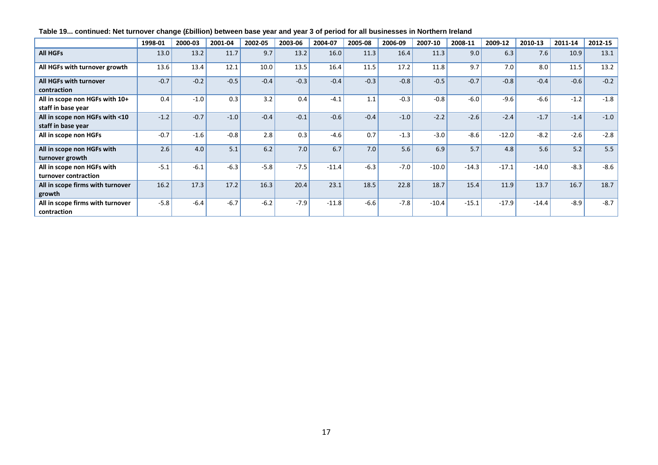|                                                      | 1998-01 | 2000-03 | 2001-04 | 2002-05 | 2003-06 | 2004-07 | 2005-08 | 2006-09 | 2007-10 | 2008-11 | 2009-12 | 2010-13 | 2011-14 | 2012-15 |
|------------------------------------------------------|---------|---------|---------|---------|---------|---------|---------|---------|---------|---------|---------|---------|---------|---------|
| <b>All HGFs</b>                                      | 13.0    | 13.2    | 11.7    | 9.7     | 13.2    | 16.0    | 11.3    | 16.4    | 11.3    | 9.0     | 6.3     | 7.6     | 10.9    | 13.1    |
| All HGFs with turnover growth                        | 13.6    | 13.4    | 12.1    | 10.0    | 13.5    | 16.4    | 11.5    | 17.2    | 11.8    | 9.7     | 7.0     | 8.0     | 11.5    | 13.2    |
| All HGFs with turnover<br>contraction                | $-0.7$  | $-0.2$  | $-0.5$  | $-0.4$  | $-0.3$  | $-0.4$  | $-0.3$  | $-0.8$  | $-0.5$  | $-0.7$  | $-0.8$  | $-0.4$  | $-0.6$  | $-0.2$  |
| All in scope non HGFs with 10+<br>staff in base year | 0.4     | $-1.0$  | 0.3     | 3.2     | 0.4     | $-4.1$  | 1.1     | $-0.3$  | $-0.8$  | $-6.0$  | $-9.6$  | $-6.6$  | $-1.2$  | $-1.8$  |
| All in scope non HGFs with <10<br>staff in base year | $-1.2$  | $-0.7$  | $-1.0$  | $-0.4$  | $-0.1$  | $-0.6$  | $-0.4$  | $-1.0$  | $-2.2$  | $-2.6$  | $-2.4$  | $-1.7$  | $-1.4$  | $-1.0$  |
| All in scope non HGFs                                | $-0.7$  | $-1.6$  | $-0.8$  | 2.8     | 0.3     | $-4.6$  | 0.7     | $-1.3$  | $-3.0$  | $-8.6$  | $-12.0$ | $-8.2$  | $-2.6$  | $-2.8$  |
| All in scope non HGFs with<br>turnover growth        | 2.6     | 4.0     | 5.1     | 6.2     | 7.0     | 6.7     | 7.0     | 5.6     | 6.9     | 5.7     | 4.8     | 5.6     | 5.2     | 5.5     |
| All in scope non HGFs with<br>turnover contraction   | $-5.1$  | $-6.1$  | $-6.3$  | $-5.8$  | $-7.5$  | $-11.4$ | $-6.3$  | $-7.0$  | $-10.0$ | $-14.3$ | $-17.1$ | $-14.0$ | $-8.3$  | $-8.6$  |
| All in scope firms with turnover<br>growth           | 16.2    | 17.3    | 17.2    | 16.3    | 20.4    | 23.1    | 18.5    | 22.8    | 18.7    | 15.4    | 11.9    | 13.7    | 16.7    | 18.7    |
| All in scope firms with turnover<br>contraction      | $-5.8$  | $-6.4$  | $-6.7$  | $-6.2$  | $-7.9$  | $-11.8$ | $-6.6$  | $-7.8$  | $-10.4$ | $-15.1$ | $-17.9$ | $-14.4$ | $-8.9$  | $-8.7$  |

# **Table 19... continued: Net turnover change (£billion) between base year and year 3 of period for all businesses in Northern Ireland**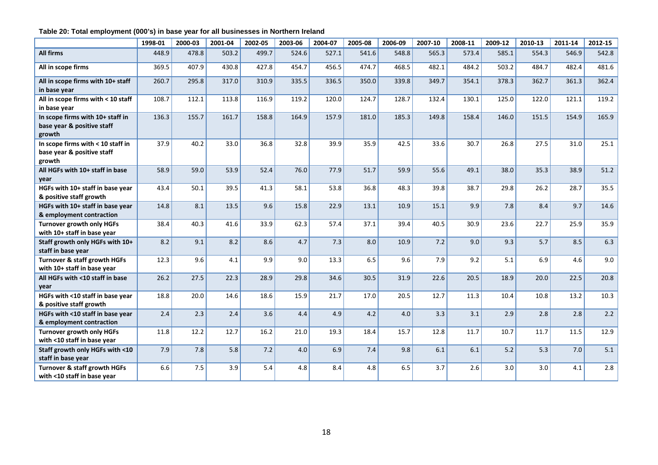## **Table 20: Total employment (000's) in base year for all businesses in Northern Ireland**

|                                                                           | 1998-01 | 2000-03 | 2001-04 | 2002-05 | 2003-06 | 2004-07 | 2005-08 | 2006-09 | 2007-10 | 2008-11 | 2009-12 | 2010-13 | 2011-14 | 2012-15 |
|---------------------------------------------------------------------------|---------|---------|---------|---------|---------|---------|---------|---------|---------|---------|---------|---------|---------|---------|
| <b>All firms</b>                                                          | 448.9   | 478.8   | 503.2   | 499.7   | 524.6   | 527.1   | 541.6   | 548.8   | 565.3   | 573.4   | 585.1   | 554.3   | 546.9   | 542.8   |
| All in scope firms                                                        | 369.5   | 407.9   | 430.8   | 427.8   | 454.7   | 456.5   | 474.7   | 468.5   | 482.1   | 484.2   | 503.2   | 484.7   | 482.4   | 481.6   |
| All in scope firms with 10+ staff<br>in base year                         | 260.7   | 295.8   | 317.0   | 310.9   | 335.5   | 336.5   | 350.0   | 339.8   | 349.7   | 354.1   | 378.3   | 362.7   | 361.3   | 362.4   |
| All in scope firms with < 10 staff<br>in base year                        | 108.7   | 112.1   | 113.8   | 116.9   | 119.2   | 120.0   | 124.7   | 128.7   | 132.4   | 130.1   | 125.0   | 122.0   | 121.1   | 119.2   |
| In scope firms with 10+ staff in<br>base year & positive staff<br>growth  | 136.3   | 155.7   | 161.7   | 158.8   | 164.9   | 157.9   | 181.0   | 185.3   | 149.8   | 158.4   | 146.0   | 151.5   | 154.9   | 165.9   |
| In scope firms with < 10 staff in<br>base year & positive staff<br>growth | 37.9    | 40.2    | 33.0    | 36.8    | 32.8    | 39.9    | 35.9    | 42.5    | 33.6    | 30.7    | 26.8    | 27.5    | 31.0    | 25.1    |
| All HGFs with 10+ staff in base<br>year                                   | 58.9    | 59.0    | 53.9    | 52.4    | 76.0    | 77.9    | 51.7    | 59.9    | 55.6    | 49.1    | 38.0    | 35.3    | 38.9    | 51.2    |
| HGFs with 10+ staff in base year<br>& positive staff growth               | 43.4    | 50.1    | 39.5    | 41.3    | 58.1    | 53.8    | 36.8    | 48.3    | 39.8    | 38.7    | 29.8    | 26.2    | 28.7    | 35.5    |
| HGFs with 10+ staff in base year<br>& employment contraction              | 14.8    | 8.1     | 13.5    | 9.6     | 15.8    | 22.9    | 13.1    | 10.9    | 15.1    | 9.9     | 7.8     | 8.4     | 9.7     | 14.6    |
| <b>Turnover growth only HGFs</b><br>with 10+ staff in base year           | 38.4    | 40.3    | 41.6    | 33.9    | 62.3    | 57.4    | 37.1    | 39.4    | 40.5    | 30.9    | 23.6    | 22.7    | 25.9    | 35.9    |
| Staff growth only HGFs with 10+<br>staff in base year                     | 8.2     | 9.1     | 8.2     | 8.6     | 4.7     | 7.3     | 8.0     | 10.9    | $7.2$   | 9.0     | 9.3     | 5.7     | 8.5     | 6.3     |
| Turnover & staff growth HGFs<br>with 10+ staff in base year               | 12.3    | 9.6     | 4.1     | 9.9     | 9.0     | 13.3    | 6.5     | 9.6     | 7.9     | 9.2     | 5.1     | 6.9     | 4.6     | 9.0     |
| All HGFs with <10 staff in base<br>year                                   | 26.2    | 27.5    | 22.3    | 28.9    | 29.8    | 34.6    | 30.5    | 31.9    | 22.6    | 20.5    | 18.9    | 20.0    | 22.5    | 20.8    |
| HGFs with <10 staff in base year<br>& positive staff growth               | 18.8    | 20.0    | 14.6    | 18.6    | 15.9    | 21.7    | 17.0    | 20.5    | 12.7    | 11.3    | 10.4    | 10.8    | 13.2    | 10.3    |
| HGFs with <10 staff in base year<br>& employment contraction              | 2.4     | 2.3     | 2.4     | 3.6     | 4.4     | 4.9     | 4.2     | 4.0     | 3.3     | 3.1     | 2.9     | 2.8     | 2.8     | 2.2     |
| <b>Turnover growth only HGFs</b><br>with <10 staff in base year           | 11.8    | 12.2    | 12.7    | 16.2    | 21.0    | 19.3    | 18.4    | 15.7    | 12.8    | 11.7    | 10.7    | 11.7    | 11.5    | 12.9    |
| Staff growth only HGFs with <10<br>staff in base year                     | 7.9     | 7.8     | 5.8     | 7.2     | 4.0     | 6.9     | 7.4     | 9.8     | 6.1     | 6.1     | 5.2     | 5.3     | 7.0     | 5.1     |
| Turnover & staff growth HGFs<br>with <10 staff in base year               | 6.6     | 7.5     | 3.9     | 5.4     | 4.8     | 8.4     | 4.8     | 6.5     | 3.7     | 2.6     | 3.0     | 3.0     | 4.1     | 2.8     |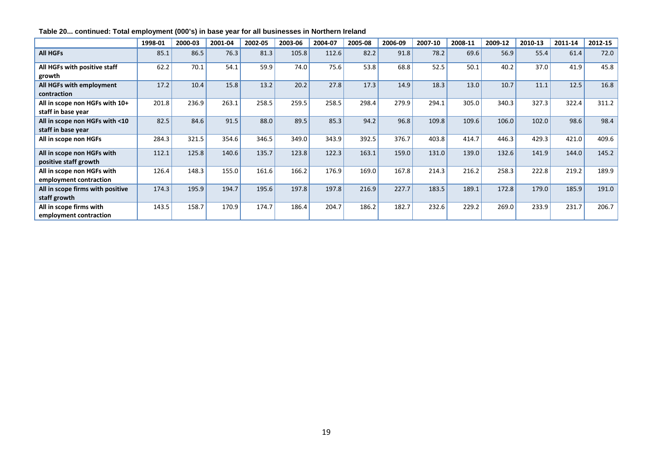|                                                      | 1998-01 | 2000-03 | 2001-04 | 2002-05 | 2003-06 | 2004-07 | 2005-08 | 2006-09 | 2007-10 | 2008-11 | 2009-12 | 2010-13 | 2011-14 | 2012-15 |
|------------------------------------------------------|---------|---------|---------|---------|---------|---------|---------|---------|---------|---------|---------|---------|---------|---------|
| <b>All HGFs</b>                                      | 85.1    | 86.5    | 76.3    | 81.3    | 105.8   | 112.6   | 82.2    | 91.8    | 78.2    | 69.6    | 56.9    | 55.4    | 61.4    | 72.0    |
| All HGFs with positive staff<br>growth               | 62.2    | 70.1    | 54.1    | 59.9    | 74.0    | 75.6    | 53.8    | 68.8    | 52.5    | 50.1    | 40.2    | 37.0    | 41.9    | 45.8    |
| All HGFs with employment<br>contraction              | 17.2    | 10.4    | 15.8    | 13.2    | 20.2    | 27.8    | 17.3    | 14.9    | 18.3    | 13.0    | 10.7    | 11.1    | 12.5    | 16.8    |
| All in scope non HGFs with 10+<br>staff in base year | 201.8   | 236.9   | 263.1   | 258.5   | 259.5   | 258.5   | 298.4   | 279.9   | 294.1   | 305.0   | 340.3   | 327.3   | 322.4   | 311.2   |
| All in scope non HGFs with <10<br>staff in base year | 82.5    | 84.6    | 91.5    | 88.0    | 89.5    | 85.3    | 94.2    | 96.8    | 109.8   | 109.6   | 106.0   | 102.0   | 98.6    | 98.4    |
| All in scope non HGFs                                | 284.3   | 321.5   | 354.6   | 346.5   | 349.0   | 343.9   | 392.5   | 376.7   | 403.8   | 414.7   | 446.3   | 429.3   | 421.0   | 409.6   |
| All in scope non HGFs with<br>positive staff growth  | 112.1   | 125.8   | 140.6   | 135.7   | 123.8   | 122.3   | 163.1   | 159.0   | 131.0   | 139.0   | 132.6   | 141.9   | 144.0   | 145.2   |
| All in scope non HGFs with<br>employment contraction | 126.4   | 148.3   | 155.0   | 161.6   | 166.2   | 176.9   | 169.0   | 167.8   | 214.3   | 216.2   | 258.3   | 222.8   | 219.2   | 189.9   |
| All in scope firms with positive<br>staff growth     | 174.3   | 195.9   | 194.7   | 195.6   | 197.8   | 197.8   | 216.9   | 227.7   | 183.5   | 189.1   | 172.8   | 179.0   | 185.9   | 191.0   |
| All in scope firms with<br>employment contraction    | 143.5   | 158.7   | 170.9   | 174.7   | 186.4   | 204.7   | 186.2   | 182.7   | 232.6   | 229.2   | 269.0   | 233.9   | 231.7   | 206.7   |

## **Table 20... continued: Total employment (000's) in base year for all businesses in Northern Ireland**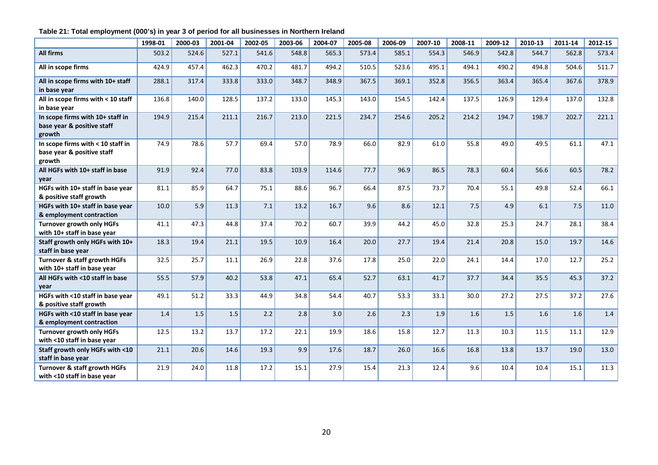# **Table 21: Total employment (000's) in year 3 of period for all businesses in Northern Ireland**

|                                                                           | 1998-01 | 2000-03 | 2001-04 | 2002-05 | 2003-06 | 2004-07 | 2005-08 | 2006-09 | 2007-10 | 2008-11 | 2009-12 | 2010-13 | 2011-14 | 2012-15 |
|---------------------------------------------------------------------------|---------|---------|---------|---------|---------|---------|---------|---------|---------|---------|---------|---------|---------|---------|
| <b>All firms</b>                                                          | 503.2   | 524.6   | 527.1   | 541.6   | 548.8   | 565.3   | 573.4   | 585.1   | 554.3   | 546.9   | 542.8   | 544.7   | 562.8   | 573.4   |
| All in scope firms                                                        | 424.9   | 457.4   | 462.3   | 470.2   | 481.7   | 494.2   | 510.5   | 523.6   | 495.1   | 494.1   | 490.2   | 494.8   | 504.6   | 511.7   |
| All in scope firms with 10+ staff<br>in base year                         | 288.1   | 317.4   | 333.8   | 333.0   | 348.7   | 348.9   | 367.5   | 369.1   | 352.8   | 356.5   | 363.4   | 365.4   | 367.6   | 378.9   |
| All in scope firms with < 10 staff<br>in base year                        | 136.8   | 140.0   | 128.5   | 137.2   | 133.0   | 145.3   | 143.0   | 154.5   | 142.4   | 137.5   | 126.9   | 129.4   | 137.0   | 132.8   |
| In scope firms with 10+ staff in<br>base year & positive staff<br>growth  | 194.9   | 215.4   | 211.1   | 216.7   | 213.0   | 221.5   | 234.7   | 254.6   | 205.2   | 214.2   | 194.7   | 198.7   | 202.7   | 221.1   |
| In scope firms with < 10 staff in<br>base year & positive staff<br>growth | 74.9    | 78.6    | 57.7    | 69.4    | 57.0    | 78.9    | 66.0    | 82.9    | 61.0    | 55.8    | 49.0    | 49.5    | 61.1    | 47.1    |
| All HGFs with 10+ staff in base<br>year                                   | 91.9    | 92.4    | 77.0    | 83.8    | 103.9   | 114.6   | 77.7    | 96.9    | 86.5    | 78.3    | 60.4    | 56.6    | 60.5    | 78.2    |
| HGFs with 10+ staff in base year<br>& positive staff growth               | 81.1    | 85.9    | 64.7    | 75.1    | 88.6    | 96.7    | 66.4    | 87.5    | 73.7    | 70.4    | 55.1    | 49.8    | 52.4    | 66.1    |
| HGFs with 10+ staff in base year<br>& employment contraction              | 10.0    | 5.9     | 11.3    | 7.1     | 13.2    | 16.7    | 9.6     | 8.6     | 12.1    | 7.5     | 4.9     | 6.1     | 7.5     | 11.0    |
| <b>Turnover growth only HGFs</b><br>with 10+ staff in base year           | 41.1    | 47.3    | 44.8    | 37.4    | 70.2    | 60.7    | 39.9    | 44.2    | 45.0    | 32.8    | 25.3    | 24.7    | 28.1    | 38.4    |
| Staff growth only HGFs with 10+<br>staff in base year                     | 18.3    | 19.4    | 21.1    | 19.5    | 10.9    | 16.4    | 20.0    | 27.7    | 19.4    | 21.4    | 20.8    | 15.0    | 19.7    | 14.6    |
| <b>Turnover &amp; staff growth HGFs</b><br>with 10+ staff in base year    | 32.5    | 25.7    | 11.1    | 26.9    | 22.8    | 37.6    | 17.8    | 25.0    | 22.0    | 24.1    | 14.4    | 17.0    | 12.7    | 25.2    |
| All HGFs with <10 staff in base<br>year                                   | 55.5    | 57.9    | 40.2    | 53.8    | 47.1    | 65.4    | 52.7    | 63.1    | 41.7    | 37.7    | 34.4    | 35.5    | 45.3    | 37.2    |
| HGFs with <10 staff in base year<br>& positive staff growth               | 49.1    | 51.2    | 33.3    | 44.9    | 34.8    | 54.4    | 40.7    | 53.3    | 33.1    | 30.0    | 27.2    | 27.5    | 37.2    | 27.6    |
| HGFs with <10 staff in base year<br>& employment contraction              | 1.4     | 1.5     | 1.5     | 2.2     | 2.8     | 3.0     | 2.6     | 2.3     | 1.9     | 1.6     | 1.5     | 1.6     | 1.6     | 1.4     |
| <b>Turnover growth only HGFs</b><br>with <10 staff in base year           | 12.5    | 13.2    | 13.7    | 17.2    | 22.1    | 19.9    | 18.6    | 15.8    | 12.7    | 11.3    | 10.3    | 11.5    | 11.1    | 12.9    |
| Staff growth only HGFs with <10<br>staff in base year                     | 21.1    | 20.6    | 14.6    | 19.3    | 9.9     | 17.6    | 18.7    | 26.0    | 16.6    | 16.8    | 13.8    | 13.7    | 19.0    | 13.0    |
| Turnover & staff growth HGFs<br>with <10 staff in base year               | 21.9    | 24.0    | 11.8    | 17.2    | 15.1    | 27.9    | 15.4    | 21.3    | 12.4    | 9.6     | 10.4    | 10.4    | 15.1    | 11.3    |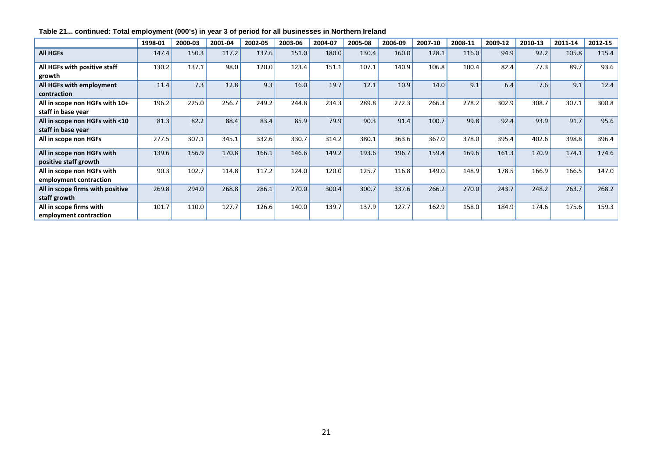|                                                      | 1998-01 | 2000-03 | 2001-04 | 2002-05 | 2003-06 | 2004-07 | 2005-08 | 2006-09 | 2007-10 | 2008-11 | 2009-12 | 2010-13 | 2011-14 | 2012-15 |
|------------------------------------------------------|---------|---------|---------|---------|---------|---------|---------|---------|---------|---------|---------|---------|---------|---------|
| <b>All HGFs</b>                                      | 147.4   | 150.3   | 117.2   | 137.6   | 151.0   | 180.0   | 130.4   | 160.0   | 128.1   | 116.0   | 94.9    | 92.2    | 105.8   | 115.4   |
| All HGFs with positive staff<br>growth               | 130.2   | 137.1   | 98.0    | 120.0   | 123.4   | 151.1   | 107.1   | 140.9   | 106.8   | 100.4   | 82.4    | 77.3    | 89.7    | 93.6    |
| All HGFs with employment<br>contraction              | 11.4    | 7.3     | 12.8    | 9.3     | 16.0    | 19.7    | 12.1    | 10.9    | 14.0    | 9.1     | 6.4     | 7.6     | 9.1     | 12.4    |
| All in scope non HGFs with 10+<br>staff in base year | 196.2   | 225.0   | 256.7   | 249.2   | 244.8   | 234.3   | 289.8   | 272.3   | 266.3   | 278.2   | 302.9   | 308.7   | 307.1   | 300.8   |
| All in scope non HGFs with <10<br>staff in base year | 81.3    | 82.2    | 88.4    | 83.4    | 85.9    | 79.9    | 90.3    | 91.4    | 100.7   | 99.8    | 92.4    | 93.9    | 91.7    | 95.6    |
| All in scope non HGFs                                | 277.5   | 307.1   | 345.1   | 332.6   | 330.7   | 314.2   | 380.1   | 363.6   | 367.0   | 378.0   | 395.4   | 402.6   | 398.8   | 396.4   |
| All in scope non HGFs with<br>positive staff growth  | 139.6   | 156.9   | 170.8   | 166.1   | 146.6   | 149.2   | 193.6   | 196.7   | 159.4   | 169.6   | 161.3   | 170.9   | 174.1   | 174.6   |
| All in scope non HGFs with<br>employment contraction | 90.3    | 102.7   | 114.8   | 117.2   | 124.0   | 120.0   | 125.7   | 116.8   | 149.0   | 148.9   | 178.5   | 166.9   | 166.5   | 147.0   |
| All in scope firms with positive<br>staff growth     | 269.8   | 294.0   | 268.8   | 286.1   | 270.0   | 300.4   | 300.7   | 337.6   | 266.2   | 270.0   | 243.7   | 248.2   | 263.7   | 268.2   |
| All in scope firms with<br>employment contraction    | 101.7   | 110.0   | 127.7   | 126.6   | 140.0   | 139.7   | 137.9   | 127.7   | 162.9   | 158.0   | 184.9   | 174.6   | 175.6   | 159.3   |

# **Table 21... continued: Total employment (000's) in year 3 of period for all businesses in Northern Ireland**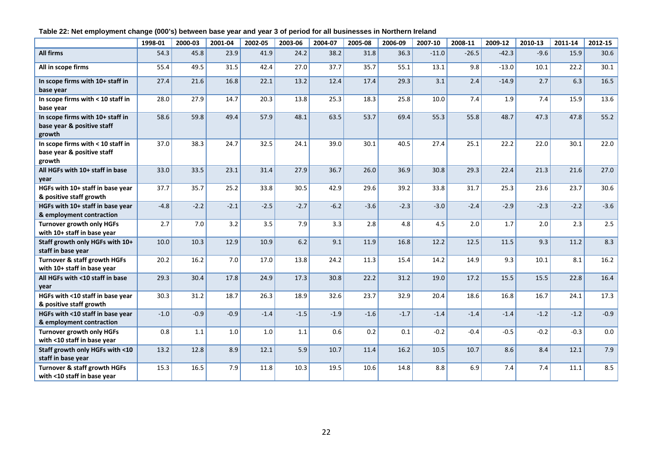## **Table 22: Net employment change (000's) between base year and year 3 of period for all businesses in Northern Ireland**

|                                                                           | 1998-01 | 2000-03 | 2001-04 | 2002-05 | 2003-06 | 2004-07 | 2005-08 | 2006-09 | 2007-10 | 2008-11 | 2009-12 | 2010-13 | 2011-14 | 2012-15 |
|---------------------------------------------------------------------------|---------|---------|---------|---------|---------|---------|---------|---------|---------|---------|---------|---------|---------|---------|
| All firms                                                                 | 54.3    | 45.8    | 23.9    | 41.9    | 24.2    | 38.2    | 31.8    | 36.3    | $-11.0$ | $-26.5$ | $-42.3$ | $-9.6$  | 15.9    | 30.6    |
| All in scope firms                                                        | 55.4    | 49.5    | 31.5    | 42.4    | 27.0    | 37.7    | 35.7    | 55.1    | 13.1    | 9.8     | $-13.0$ | 10.1    | 22.2    | 30.1    |
| In scope firms with 10+ staff in<br>base year                             | 27.4    | 21.6    | 16.8    | 22.1    | 13.2    | 12.4    | 17.4    | 29.3    | 3.1     | 2.4     | $-14.9$ | 2.7     | 6.3     | 16.5    |
| In scope firms with < 10 staff in<br>base year                            | 28.0    | 27.9    | 14.7    | 20.3    | 13.8    | 25.3    | 18.3    | 25.8    | 10.0    | 7.4     | 1.9     | 7.4     | 15.9    | 13.6    |
| In scope firms with 10+ staff in<br>base year & positive staff<br>growth  | 58.6    | 59.8    | 49.4    | 57.9    | 48.1    | 63.5    | 53.7    | 69.4    | 55.3    | 55.8    | 48.7    | 47.3    | 47.8    | 55.2    |
| In scope firms with < 10 staff in<br>base year & positive staff<br>growth | 37.0    | 38.3    | 24.7    | 32.5    | 24.1    | 39.0    | 30.1    | 40.5    | 27.4    | 25.1    | 22.2    | 22.0    | 30.1    | 22.0    |
| All HGFs with 10+ staff in base<br>year                                   | 33.0    | 33.5    | 23.1    | 31.4    | 27.9    | 36.7    | 26.0    | 36.9    | 30.8    | 29.3    | 22.4    | 21.3    | 21.6    | 27.0    |
| HGFs with 10+ staff in base year<br>& positive staff growth               | 37.7    | 35.7    | 25.2    | 33.8    | 30.5    | 42.9    | 29.6    | 39.2    | 33.8    | 31.7    | 25.3    | 23.6    | 23.7    | 30.6    |
| HGFs with 10+ staff in base year<br>& employment contraction              | $-4.8$  | $-2.2$  | $-2.1$  | $-2.5$  | $-2.7$  | $-6.2$  | $-3.6$  | $-2.3$  | $-3.0$  | $-2.4$  | $-2.9$  | $-2.3$  | $-2.2$  | $-3.6$  |
| <b>Turnover growth only HGFs</b><br>with 10+ staff in base year           | 2.7     | 7.0     | 3.2     | 3.5     | 7.9     | 3.3     | 2.8     | 4.8     | 4.5     | 2.0     | 1.7     | 2.0     | 2.3     | 2.5     |
| Staff growth only HGFs with 10+<br>staff in base year                     | 10.0    | 10.3    | 12.9    | 10.9    | 6.2     | 9.1     | 11.9    | 16.8    | 12.2    | 12.5    | 11.5    | 9.3     | 11.2    | 8.3     |
| <b>Turnover &amp; staff growth HGFs</b><br>with 10+ staff in base year    | 20.2    | 16.2    | 7.0     | 17.0    | 13.8    | 24.2    | 11.3    | 15.4    | 14.2    | 14.9    | 9.3     | 10.1    | 8.1     | 16.2    |
| All HGFs with <10 staff in base<br>year                                   | 29.3    | 30.4    | 17.8    | 24.9    | 17.3    | 30.8    | 22.2    | 31.2    | 19.0    | 17.2    | 15.5    | 15.5    | 22.8    | 16.4    |
| HGFs with <10 staff in base year<br>& positive staff growth               | 30.3    | 31.2    | 18.7    | 26.3    | 18.9    | 32.6    | 23.7    | 32.9    | 20.4    | 18.6    | 16.8    | 16.7    | 24.1    | 17.3    |
| HGFs with <10 staff in base year<br>& employment contraction              | $-1.0$  | $-0.9$  | $-0.9$  | $-1.4$  | $-1.5$  | $-1.9$  | $-1.6$  | $-1.7$  | $-1.4$  | $-1.4$  | $-1.4$  | $-1.2$  | $-1.2$  | $-0.9$  |
| <b>Turnover growth only HGFs</b><br>with <10 staff in base year           | 0.8     | 1.1     | 1.0     | 1.0     | 1.1     | 0.6     | 0.2     | 0.1     | $-0.2$  | $-0.4$  | $-0.5$  | $-0.2$  | $-0.3$  | 0.0     |
| Staff growth only HGFs with <10<br>staff in base year                     | 13.2    | 12.8    | 8.9     | 12.1    | 5.9     | 10.7    | 11.4    | 16.2    | 10.5    | 10.7    | 8.6     | 8.4     | 12.1    | 7.9     |
| <b>Turnover &amp; staff growth HGFs</b><br>with <10 staff in base year    | 15.3    | 16.5    | 7.9     | 11.8    | 10.3    | 19.5    | 10.6    | 14.8    | 8.8     | 6.9     | 7.4     | 7.4     | 11.1    | 8.5     |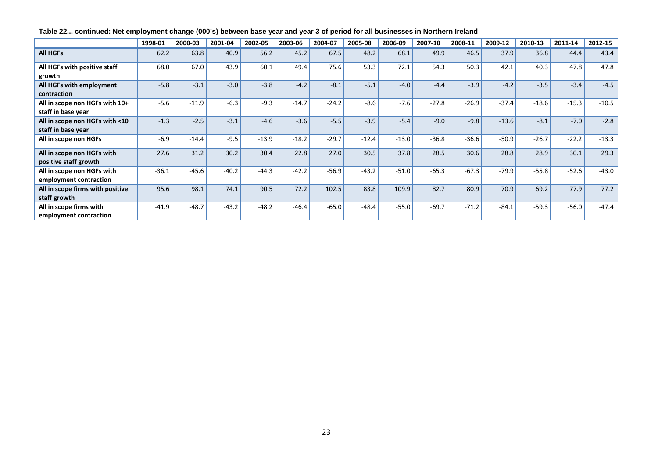|                                                      | 1998-01 | 2000-03 | 2001-04 | 2002-05 | 2003-06 | 2004-07 | 2005-08 | 2006-09 | 2007-10 | 2008-11 | 2009-12 | 2010-13 | 2011-14 | 2012-15 |
|------------------------------------------------------|---------|---------|---------|---------|---------|---------|---------|---------|---------|---------|---------|---------|---------|---------|
| <b>All HGFs</b>                                      | 62.2    | 63.8    | 40.9    | 56.2    | 45.2    | 67.5    | 48.2    | 68.1    | 49.9    | 46.5    | 37.9    | 36.8    | 44.4    | 43.4    |
| All HGFs with positive staff<br>growth               | 68.0    | 67.0    | 43.9    | 60.1    | 49.4    | 75.6    | 53.3    | 72.1    | 54.3    | 50.3    | 42.1    | 40.3    | 47.8    | 47.8    |
| All HGFs with employment<br>contraction              | $-5.8$  | $-3.1$  | $-3.0$  | $-3.8$  | $-4.2$  | $-8.1$  | $-5.1$  | $-4.0$  | $-4.4$  | $-3.9$  | $-4.2$  | $-3.5$  | $-3.4$  | $-4.5$  |
| All in scope non HGFs with 10+<br>staff in base year | $-5.6$  | $-11.9$ | $-6.3$  | $-9.3$  | $-14.7$ | $-24.2$ | $-8.6$  | $-7.6$  | $-27.8$ | $-26.9$ | $-37.4$ | $-18.6$ | $-15.3$ | $-10.5$ |
| All in scope non HGFs with <10<br>staff in base year | $-1.3$  | $-2.5$  | $-3.1$  | $-4.6$  | $-3.6$  | $-5.5$  | $-3.9$  | $-5.4$  | $-9.0$  | $-9.8$  | $-13.6$ | $-8.1$  | $-7.0$  | $-2.8$  |
| All in scope non HGFs                                | $-6.9$  | $-14.4$ | $-9.5$  | $-13.9$ | $-18.2$ | $-29.7$ | $-12.4$ | $-13.0$ | $-36.8$ | $-36.6$ | $-50.9$ | $-26.7$ | $-22.2$ | $-13.3$ |
| All in scope non HGFs with<br>positive staff growth  | 27.6    | 31.2    | 30.2    | 30.4    | 22.8    | 27.0    | 30.5    | 37.8    | 28.5    | 30.6    | 28.8    | 28.9    | 30.1    | 29.3    |
| All in scope non HGFs with<br>employment contraction | $-36.1$ | $-45.6$ | $-40.2$ | $-44.3$ | $-42.2$ | $-56.9$ | $-43.2$ | $-51.0$ | $-65.3$ | $-67.3$ | $-79.9$ | $-55.8$ | $-52.6$ | $-43.0$ |
| All in scope firms with positive<br>staff growth     | 95.6    | 98.1    | 74.1    | 90.5    | 72.2    | 102.5   | 83.8    | 109.9   | 82.7    | 80.9    | 70.9    | 69.2    | 77.9    | 77.2    |
| All in scope firms with<br>employment contraction    | $-41.9$ | $-48.7$ | $-43.2$ | $-48.2$ | $-46.4$ | $-65.0$ | $-48.4$ | $-55.0$ | $-69.7$ | $-71.2$ | $-84.1$ | $-59.3$ | $-56.0$ | $-47.4$ |

# **Table 22... continued: Net employment change (000's) between base year and year 3 of period for all businesses in Northern Ireland**